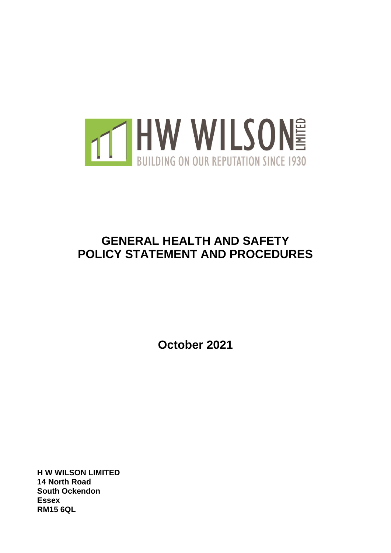

# **GENERAL HEALTH AND SAFETY POLICY STATEMENT AND PROCEDURES**

**October 2021**

**H W WILSON LIMITED 14 North Road South Ockendon Essex RM15 6QL**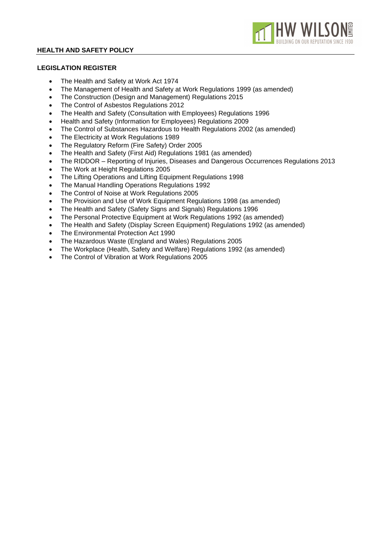

# **LEGISLATION REGISTER**

- The Health and Safety at Work Act 1974
- The Management of Health and Safety at Work Regulations 1999 (as amended)
- The Construction (Design and Management) Regulations 2015
- The Control of Asbestos Regulations 2012
- The Health and Safety (Consultation with Employees) Regulations 1996
- Health and Safety (Information for Employees) Regulations 2009
- The Control of Substances Hazardous to Health Regulations 2002 (as amended)
- The Electricity at Work Regulations 1989
- The Regulatory Reform (Fire Safety) Order 2005
- The Health and Safety (First Aid) Regulations 1981 (as amended)
- The RIDDOR Reporting of Injuries, Diseases and Dangerous Occurrences Regulations 2013
- The Work at Height Regulations 2005
- The Lifting Operations and Lifting Equipment Regulations 1998
- The Manual Handling Operations Regulations 1992
- The Control of Noise at Work Regulations 2005
- The Provision and Use of Work Equipment Regulations 1998 (as amended)
- The Health and Safety (Safety Signs and Signals) Regulations 1996
- The Personal Protective Equipment at Work Regulations 1992 (as amended)
- The Health and Safety (Display Screen Equipment) Regulations 1992 (as amended)
- The Environmental Protection Act 1990
- The Hazardous Waste (England and Wales) Regulations 2005
- The Workplace (Health, Safety and Welfare) Regulations 1992 (as amended)
- The Control of Vibration at Work Regulations 2005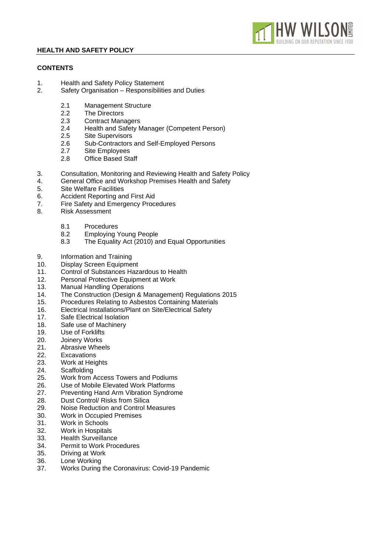# **CONTENTS**

- 1. Health and Safety Policy Statement
- 2. Safety Organisation Responsibilities and Duties
	- 2.1 Management Structure<br>2.2 The Directors
	- 2.2 The Directors<br>2.3 Contract Mana
	- 2.3 Contract Managers<br>2.4 Health and Safety N
	- Health and Safety Manager (Competent Person)

N WII S

- 2.5 Site Supervisors
- 2.6 Sub-Contractors and Self-Employed Persons
- 2.7 Site Employees
- 2.8 Office Based Staff
- 3. Consultation, Monitoring and Reviewing Health and Safety Policy
- 4. General Office and Workshop Premises Health and Safety
- 5. Site Welfare Facilities
- 6. Accident Reporting and First Aid
- 7. Fire Safety and Emergency Procedures
- 8. Risk Assessment
	- 8.1 Procedures
	- 8.2 Employing Young People
	- 8.3 The Equality Act (2010) and Equal Opportunities
- 9. Information and Training
- 10. Display Screen Equipment<br>11. Control of Substances Haz
- Control of Substances Hazardous to Health
- 12. Personal Protective Equipment at Work
- 13. Manual Handling Operations
- 14. The Construction (Design & Management) Regulations 2015
- 15. Procedures Relating to Asbestos Containing Materials
- 16. Electrical Installations/Plant on Site/Electrical Safety
- 17. Safe Electrical Isolation
- 18. Safe use of Machinery
- 19. Use of Forklifts
- 20. Joinery Works
- 21. Abrasive Wheels
- 22. Excavations<br>23. Work at Heig
- Work at Heights
- 24. Scaffolding
- 25. Work from Access Towers and Podiums
- 26. Use of Mobile Elevated Work Platforms
- 27. Preventing Hand Arm Vibration Syndrome
- 28. Dust Control/ Risks from Silica
- 29. Noise Reduction and Control Measures
- 30. Work in Occupied Premises
- 31. Work in Schools
- 32. Work in Hospitals
- 33. Health Surveillance
- 34. Permit to Work Procedures
- 35. Driving at Work
- 36. Lone Working
- 37. Works During the Coronavirus: Covid-19 Pandemic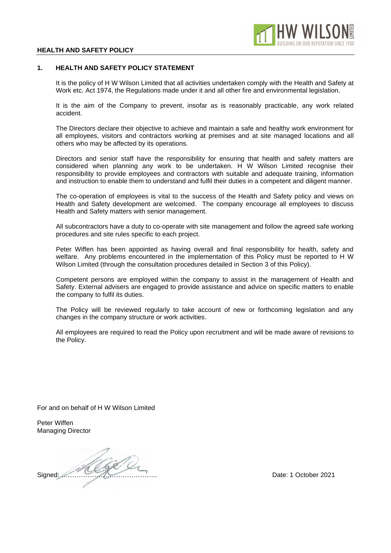

## **1. HEALTH AND SAFETY POLICY STATEMENT**

It is the policy of H W Wilson Limited that all activities undertaken comply with the Health and Safety at Work etc. Act 1974, the Regulations made under it and all other fire and environmental legislation.

It is the aim of the Company to prevent, insofar as is reasonably practicable, any work related accident.

The Directors declare their objective to achieve and maintain a safe and healthy work environment for all employees, visitors and contractors working at premises and at site managed locations and all others who may be affected by its operations.

Directors and senior staff have the responsibility for ensuring that health and safety matters are considered when planning any work to be undertaken. H W Wilson Limited recognise their responsibility to provide employees and contractors with suitable and adequate training, information and instruction to enable them to understand and fulfil their duties in a competent and diligent manner.

The co-operation of employees is vital to the success of the Health and Safety policy and views on Health and Safety development are welcomed. The company encourage all employees to discuss Health and Safety matters with senior management.

All subcontractors have a duty to co-operate with site management and follow the agreed safe working procedures and site rules specific to each project.

Peter Wiffen has been appointed as having overall and final responsibility for health, safety and welfare. Any problems encountered in the implementation of this Policy must be reported to H W Wilson Limited (through the consultation procedures detailed in Section 3 of this Policy).

Competent persons are employed within the company to assist in the management of Health and Safety. External advisers are engaged to provide assistance and advice on specific matters to enable the company to fulfil its duties.

The Policy will be reviewed regularly to take account of new or forthcoming legislation and any changes in the company structure or work activities.

All employees are required to read the Policy upon recruitment and will be made aware of revisions to the Policy.

For and on behalf of H W Wilson Limited

Peter Wiffen Managing Director

Signed: <u>March 2021</u><br>Date: 1 October 2021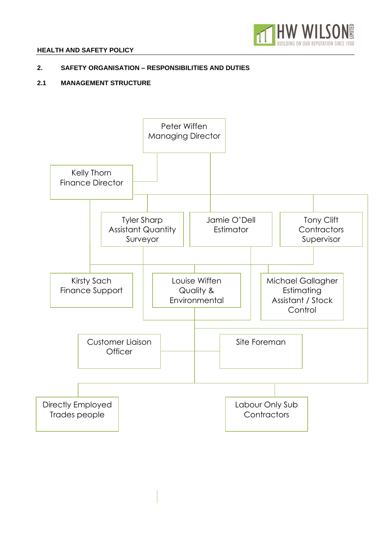

# **2. SAFETY ORGANISATION – RESPONSIBILITIES AND DUTIES**

# **2.1 MANAGEMENT STRUCTURE**

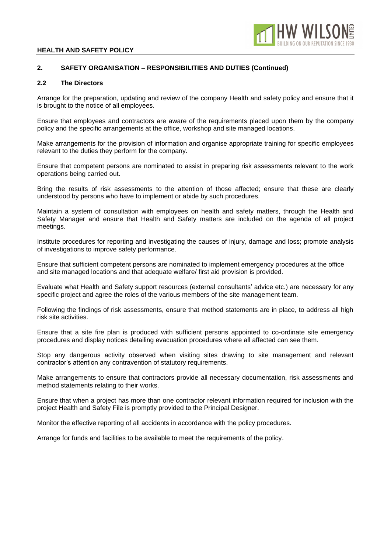

## **2. SAFETY ORGANISATION – RESPONSIBILITIES AND DUTIES (Continued)**

#### **2.2 The Directors**

Arrange for the preparation, updating and review of the company Health and safety policy and ensure that it is brought to the notice of all employees.

Ensure that employees and contractors are aware of the requirements placed upon them by the company policy and the specific arrangements at the office, workshop and site managed locations.

Make arrangements for the provision of information and organise appropriate training for specific employees relevant to the duties they perform for the company.

Ensure that competent persons are nominated to assist in preparing risk assessments relevant to the work operations being carried out.

Bring the results of risk assessments to the attention of those affected; ensure that these are clearly understood by persons who have to implement or abide by such procedures.

Maintain a system of consultation with employees on health and safety matters, through the Health and Safety Manager and ensure that Health and Safety matters are included on the agenda of all project meetings.

Institute procedures for reporting and investigating the causes of injury, damage and loss; promote analysis of investigations to improve safety performance.

Ensure that sufficient competent persons are nominated to implement emergency procedures at the office and site managed locations and that adequate welfare/ first aid provision is provided.

Evaluate what Health and Safety support resources (external consultants' advice etc.) are necessary for any specific project and agree the roles of the various members of the site management team.

Following the findings of risk assessments, ensure that method statements are in place, to address all high risk site activities.

Ensure that a site fire plan is produced with sufficient persons appointed to co-ordinate site emergency procedures and display notices detailing evacuation procedures where all affected can see them.

Stop any dangerous activity observed when visiting sites drawing to site management and relevant contractor's attention any contravention of statutory requirements.

Make arrangements to ensure that contractors provide all necessary documentation, risk assessments and method statements relating to their works.

Ensure that when a project has more than one contractor relevant information required for inclusion with the project Health and Safety File is promptly provided to the Principal Designer.

Monitor the effective reporting of all accidents in accordance with the policy procedures.

Arrange for funds and facilities to be available to meet the requirements of the policy.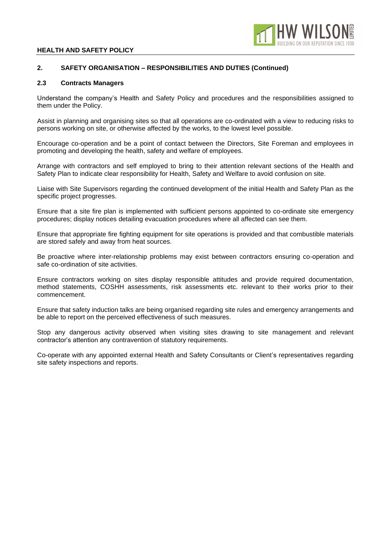

## **2. SAFETY ORGANISATION – RESPONSIBILITIES AND DUTIES (Continued)**

#### **2.3 Contracts Managers**

Understand the company's Health and Safety Policy and procedures and the responsibilities assigned to them under the Policy.

Assist in planning and organising sites so that all operations are co-ordinated with a view to reducing risks to persons working on site, or otherwise affected by the works, to the lowest level possible.

Encourage co-operation and be a point of contact between the Directors, Site Foreman and employees in promoting and developing the health, safety and welfare of employees.

Arrange with contractors and self employed to bring to their attention relevant sections of the Health and Safety Plan to indicate clear responsibility for Health, Safety and Welfare to avoid confusion on site.

Liaise with Site Supervisors regarding the continued development of the initial Health and Safety Plan as the specific project progresses.

Ensure that a site fire plan is implemented with sufficient persons appointed to co-ordinate site emergency procedures; display notices detailing evacuation procedures where all affected can see them.

Ensure that appropriate fire fighting equipment for site operations is provided and that combustible materials are stored safely and away from heat sources.

Be proactive where inter-relationship problems may exist between contractors ensuring co-operation and safe co-ordination of site activities.

Ensure contractors working on sites display responsible attitudes and provide required documentation, method statements, COSHH assessments, risk assessments etc. relevant to their works prior to their commencement.

Ensure that safety induction talks are being organised regarding site rules and emergency arrangements and be able to report on the perceived effectiveness of such measures.

Stop any dangerous activity observed when visiting sites drawing to site management and relevant contractor's attention any contravention of statutory requirements.

Co-operate with any appointed external Health and Safety Consultants or Client's representatives regarding site safety inspections and reports.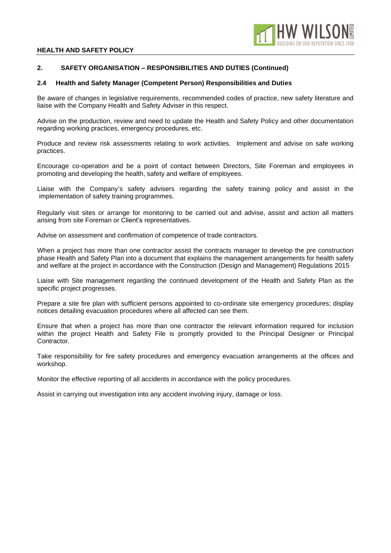

## **2. SAFETY ORGANISATION – RESPONSIBILITIES AND DUTIES (Continued)**

#### **2.4 Health and Safety Manager (Competent Person) Responsibilities and Duties**

Be aware of changes in legislative requirements, recommended codes of practice, new safety literature and liaise with the Company Health and Safety Adviser in this respect.

Advise on the production, review and need to update the Health and Safety Policy and other documentation regarding working practices, emergency procedures, etc.

Produce and review risk assessments relating to work activities. Implement and advise on safe working practices.

Encourage co-operation and be a point of contact between Directors, Site Foreman and employees in promoting and developing the health, safety and welfare of employees.

Liaise with the Company's safety advisers regarding the safety training policy and assist in the implementation of safety training programmes.

Regularly visit sites or arrange for monitoring to be carried out and advise, assist and action all matters arising from site Foreman or Client's representatives.

Advise on assessment and confirmation of competence of trade contractors.

When a project has more than one contractor assist the contracts manager to develop the pre construction phase Health and Safety Plan into a document that explains the management arrangements for health safety and welfare at the project in accordance with the Construction (Design and Management) Regulations 2015

Liaise with Site management regarding the continued development of the Health and Safety Plan as the specific project progresses.

Prepare a site fire plan with sufficient persons appointed to co-ordinate site emergency procedures; display notices detailing evacuation procedures where all affected can see them.

Ensure that when a project has more than one contractor the relevant information required for inclusion within the project Health and Safety File is promptly provided to the Principal Designer or Principal Contractor.

Take responsibility for fire safety procedures and emergency evacuation arrangements at the offices and workshop.

Monitor the effective reporting of all accidents in accordance with the policy procedures.

Assist in carrying out investigation into any accident involving injury, damage or loss.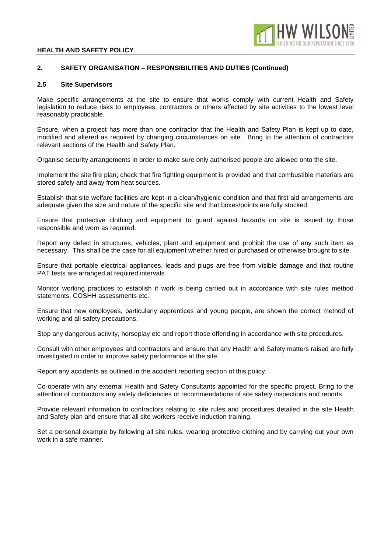

## **2. SAFETY ORGANISATION – RESPONSIBILITIES AND DUTIES (Continued)**

## **2.5 Site Supervisors**

Make specific arrangements at the site to ensure that works comply with current Health and Safety legislation to reduce risks to employees, contractors or others affected by site activities to the lowest level reasonably practicable.

Ensure, when a project has more than one contractor that the Health and Safety Plan is kept up to date, modified and altered as required by changing circumstances on site. Bring to the attention of contractors relevant sections of the Health and Safety Plan.

Organise security arrangements in order to make sure only authorised people are allowed onto the site.

Implement the site fire plan; check that fire fighting equipment is provided and that combustible materials are stored safely and away from heat sources.

Establish that site welfare facilities are kept in a clean/hygienic condition and that first aid arrangements are adequate given the size and nature of the specific site and that boxes/points are fully stocked.

Ensure that protective clothing and equipment to guard against hazards on site is issued by those responsible and worn as required.

Report any defect in structures, vehicles, plant and equipment and prohibit the use of any such item as necessary. This shall be the case for all equipment whether hired or purchased or otherwise brought to site.

Ensure that portable electrical appliances, leads and plugs are free from visible damage and that routine PAT tests are arranged at required intervals.

Monitor working practices to establish if work is being carried out in accordance with site rules method statements, COSHH assessments etc.

Ensure that new employees, particularly apprentices and young people, are shown the correct method of working and all safety precautions.

Stop any dangerous activity, horseplay etc and report those offending in accordance with site procedures.

Consult with other employees and contractors and ensure that any Health and Safety matters raised are fully investigated in order to improve safety performance at the site.

Report any accidents as outlined in the accident reporting section of this policy.

Co-operate with any external Health and Safety Consultants appointed for the specific project. Bring to the attention of contractors any safety deficiencies or recommendations of site safety inspections and reports.

Provide relevant information to contractors relating to site rules and procedures detailed in the site Health and Safety plan and ensure that all site workers receive induction training.

Set a personal example by following all site rules, wearing protective clothing and by carrying out your own work in a safe manner.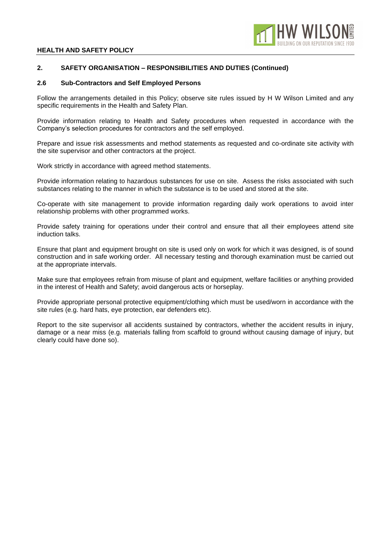

## **2. SAFETY ORGANISATION – RESPONSIBILITIES AND DUTIES (Continued)**

#### **2.6 Sub-Contractors and Self Employed Persons**

Follow the arrangements detailed in this Policy; observe site rules issued by H W Wilson Limited and any specific requirements in the Health and Safety Plan.

Provide information relating to Health and Safety procedures when requested in accordance with the Company's selection procedures for contractors and the self employed.

Prepare and issue risk assessments and method statements as requested and co-ordinate site activity with the site supervisor and other contractors at the project.

Work strictly in accordance with agreed method statements.

Provide information relating to hazardous substances for use on site. Assess the risks associated with such substances relating to the manner in which the substance is to be used and stored at the site.

Co-operate with site management to provide information regarding daily work operations to avoid inter relationship problems with other programmed works.

Provide safety training for operations under their control and ensure that all their employees attend site induction talks.

Ensure that plant and equipment brought on site is used only on work for which it was designed, is of sound construction and in safe working order. All necessary testing and thorough examination must be carried out at the appropriate intervals.

Make sure that employees refrain from misuse of plant and equipment, welfare facilities or anything provided in the interest of Health and Safety; avoid dangerous acts or horseplay.

Provide appropriate personal protective equipment/clothing which must be used/worn in accordance with the site rules (e.g. hard hats, eye protection, ear defenders etc).

Report to the site supervisor all accidents sustained by contractors, whether the accident results in injury, damage or a near miss (e.g. materials falling from scaffold to ground without causing damage of injury, but clearly could have done so).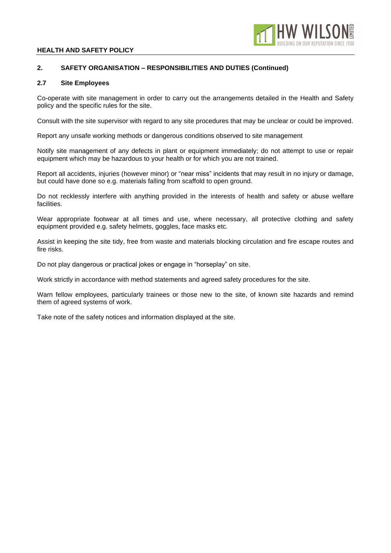

## **2. SAFETY ORGANISATION – RESPONSIBILITIES AND DUTIES (Continued)**

#### **2.7 Site Employees**

Co-operate with site management in order to carry out the arrangements detailed in the Health and Safety policy and the specific rules for the site.

Consult with the site supervisor with regard to any site procedures that may be unclear or could be improved.

Report any unsafe working methods or dangerous conditions observed to site management

Notify site management of any defects in plant or equipment immediately; do not attempt to use or repair equipment which may be hazardous to your health or for which you are not trained.

Report all accidents, injuries (however minor) or "near miss" incidents that may result in no injury or damage, but could have done so e.g. materials falling from scaffold to open ground.

Do not recklessly interfere with anything provided in the interests of health and safety or abuse welfare facilities.

Wear appropriate footwear at all times and use, where necessary, all protective clothing and safety equipment provided e.g. safety helmets, goggles, face masks etc.

Assist in keeping the site tidy, free from waste and materials blocking circulation and fire escape routes and fire risks.

Do not play dangerous or practical jokes or engage in "horseplay" on site.

Work strictly in accordance with method statements and agreed safety procedures for the site.

Warn fellow employees, particularly trainees or those new to the site, of known site hazards and remind them of agreed systems of work.

Take note of the safety notices and information displayed at the site.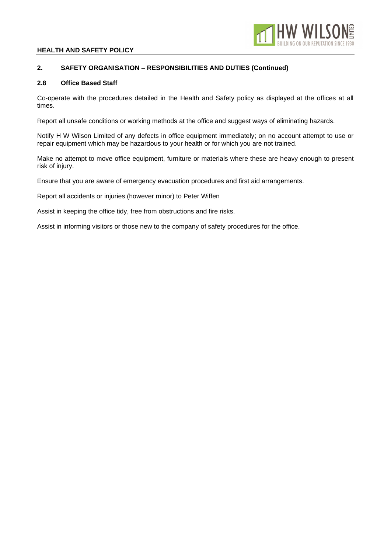

## **2. SAFETY ORGANISATION – RESPONSIBILITIES AND DUTIES (Continued)**

## **2.8 Office Based Staff**

Co-operate with the procedures detailed in the Health and Safety policy as displayed at the offices at all times.

Report all unsafe conditions or working methods at the office and suggest ways of eliminating hazards.

Notify H W Wilson Limited of any defects in office equipment immediately; on no account attempt to use or repair equipment which may be hazardous to your health or for which you are not trained.

Make no attempt to move office equipment, furniture or materials where these are heavy enough to present risk of injury.

Ensure that you are aware of emergency evacuation procedures and first aid arrangements.

Report all accidents or injuries (however minor) to Peter Wiffen

Assist in keeping the office tidy, free from obstructions and fire risks.

Assist in informing visitors or those new to the company of safety procedures for the office.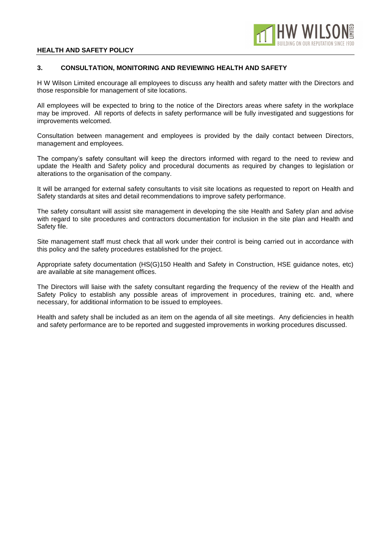

## **3. CONSULTATION, MONITORING AND REVIEWING HEALTH AND SAFETY**

H W Wilson Limited encourage all employees to discuss any health and safety matter with the Directors and those responsible for management of site locations.

All employees will be expected to bring to the notice of the Directors areas where safety in the workplace may be improved. All reports of defects in safety performance will be fully investigated and suggestions for improvements welcomed.

Consultation between management and employees is provided by the daily contact between Directors, management and employees.

The company's safety consultant will keep the directors informed with regard to the need to review and update the Health and Safety policy and procedural documents as required by changes to legislation or alterations to the organisation of the company.

It will be arranged for external safety consultants to visit site locations as requested to report on Health and Safety standards at sites and detail recommendations to improve safety performance.

The safety consultant will assist site management in developing the site Health and Safety plan and advise with regard to site procedures and contractors documentation for inclusion in the site plan and Health and Safety file.

Site management staff must check that all work under their control is being carried out in accordance with this policy and the safety procedures established for the project.

Appropriate safety documentation (HS(G)150 Health and Safety in Construction, HSE guidance notes, etc) are available at site management offices.

The Directors will liaise with the safety consultant regarding the frequency of the review of the Health and Safety Policy to establish any possible areas of improvement in procedures, training etc. and, where necessary, for additional information to be issued to employees.

Health and safety shall be included as an item on the agenda of all site meetings. Any deficiencies in health and safety performance are to be reported and suggested improvements in working procedures discussed.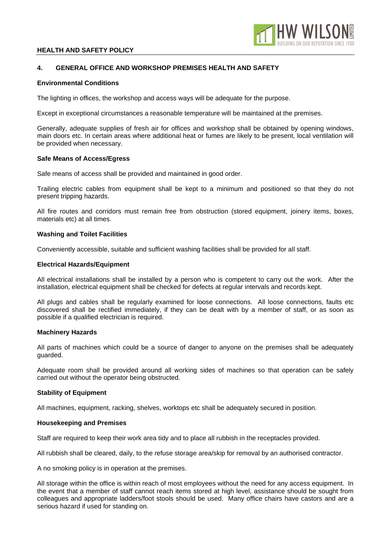

## **4. GENERAL OFFICE AND WORKSHOP PREMISES HEALTH AND SAFETY**

## **Environmental Conditions**

The lighting in offices, the workshop and access ways will be adequate for the purpose.

Except in exceptional circumstances a reasonable temperature will be maintained at the premises.

Generally, adequate supplies of fresh air for offices and workshop shall be obtained by opening windows, main doors etc. In certain areas where additional heat or fumes are likely to be present, local ventilation will be provided when necessary.

#### **Safe Means of Access/Egress**

Safe means of access shall be provided and maintained in good order.

Trailing electric cables from equipment shall be kept to a minimum and positioned so that they do not present tripping hazards.

All fire routes and corridors must remain free from obstruction (stored equipment, joinery items, boxes, materials etc) at all times.

#### **Washing and Toilet Facilities**

Conveniently accessible, suitable and sufficient washing facilities shall be provided for all staff.

#### **Electrical Hazards/Equipment**

All electrical installations shall be installed by a person who is competent to carry out the work. After the installation, electrical equipment shall be checked for defects at regular intervals and records kept.

All plugs and cables shall be regularly examined for loose connections. All loose connections, faults etc discovered shall be rectified immediately, if they can be dealt with by a member of staff, or as soon as possible if a qualified electrician is required.

## **Machinery Hazards**

All parts of machines which could be a source of danger to anyone on the premises shall be adequately guarded.

Adequate room shall be provided around all working sides of machines so that operation can be safely carried out without the operator being obstructed.

## **Stability of Equipment**

All machines, equipment, racking, shelves, worktops etc shall be adequately secured in position.

#### **Housekeeping and Premises**

Staff are required to keep their work area tidy and to place all rubbish in the receptacles provided.

All rubbish shall be cleared, daily, to the refuse storage area/skip for removal by an authorised contractor.

A no smoking policy is in operation at the premises.

All storage within the office is within reach of most employees without the need for any access equipment. In the event that a member of staff cannot reach items stored at high level, assistance should be sought from colleagues and appropriate ladders/foot stools should be used. Many office chairs have castors and are a serious hazard if used for standing on.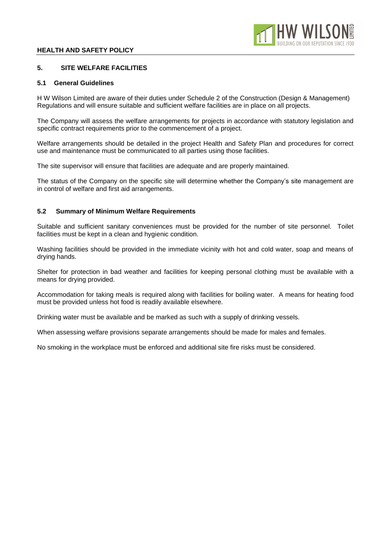## **5. SITE WELFARE FACILITIES**

## **5.1 General Guidelines**

H W Wilson Limited are aware of their duties under Schedule 2 of the Construction (Design & Management) Regulations and will ensure suitable and sufficient welfare facilities are in place on all projects.

The Company will assess the welfare arrangements for projects in accordance with statutory legislation and specific contract requirements prior to the commencement of a project.

Welfare arrangements should be detailed in the project Health and Safety Plan and procedures for correct use and maintenance must be communicated to all parties using those facilities.

The site supervisor will ensure that facilities are adequate and are properly maintained.

The status of the Company on the specific site will determine whether the Company's site management are in control of welfare and first aid arrangements.

## **5.2 Summary of Minimum Welfare Requirements**

Suitable and sufficient sanitary conveniences must be provided for the number of site personnel. Toilet facilities must be kept in a clean and hygienic condition.

Washing facilities should be provided in the immediate vicinity with hot and cold water, soap and means of drying hands.

Shelter for protection in bad weather and facilities for keeping personal clothing must be available with a means for drying provided.

Accommodation for taking meals is required along with facilities for boiling water. A means for heating food must be provided unless hot food is readily available elsewhere.

Drinking water must be available and be marked as such with a supply of drinking vessels.

When assessing welfare provisions separate arrangements should be made for males and females.

No smoking in the workplace must be enforced and additional site fire risks must be considered.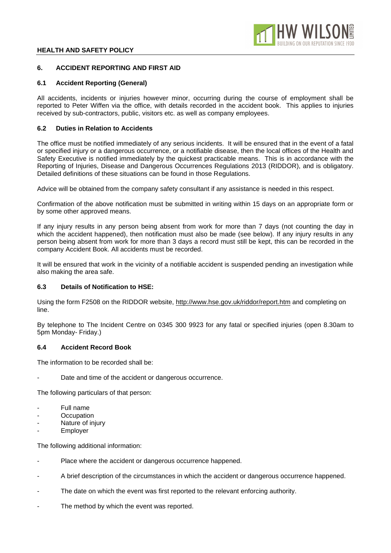## **6. ACCIDENT REPORTING AND FIRST AID**

## **6.1 Accident Reporting (General)**

All accidents, incidents or injuries however minor, occurring during the course of employment shall be reported to Peter Wiffen via the office, with details recorded in the accident book. This applies to injuries received by sub-contractors, public, visitors etc. as well as company employees.

## **6.2 Duties in Relation to Accidents**

The office must be notified immediately of any serious incidents. It will be ensured that in the event of a fatal or specified injury or a dangerous occurrence, or a notifiable disease, then the local offices of the Health and Safety Executive is notified immediately by the quickest practicable means. This is in accordance with the Reporting of Injuries, Disease and Dangerous Occurrences Regulations 2013 (RIDDOR), and is obligatory. Detailed definitions of these situations can be found in those Regulations.

Advice will be obtained from the company safety consultant if any assistance is needed in this respect.

Confirmation of the above notification must be submitted in writing within 15 days on an appropriate form or by some other approved means.

If any injury results in any person being absent from work for more than 7 days (not counting the day in which the accident happened), then notification must also be made (see below). If any injury results in any person being absent from work for more than 3 days a record must still be kept, this can be recorded in the company Accident Book. All accidents must be recorded.

It will be ensured that work in the vicinity of a notifiable accident is suspended pending an investigation while also making the area safe.

## **6.3 Details of Notification to HSE:**

Using the form F2508 on the RIDDOR website, http://www.hse.gov.uk/riddor/report.htm and completing on line.

By telephone to The Incident Centre on 0345 300 9923 for any fatal or specified injuries (open 8.30am to 5pm Monday- Friday.)

## **6.4 Accident Record Book**

The information to be recorded shall be:

Date and time of the accident or dangerous occurrence.

The following particulars of that person:

- Full name
- **Occupation**
- Nature of injury
- **Employer**

The following additional information:

- Place where the accident or dangerous occurrence happened.
- A brief description of the circumstances in which the accident or dangerous occurrence happened.
- The date on which the event was first reported to the relevant enforcing authority.
- The method by which the event was reported.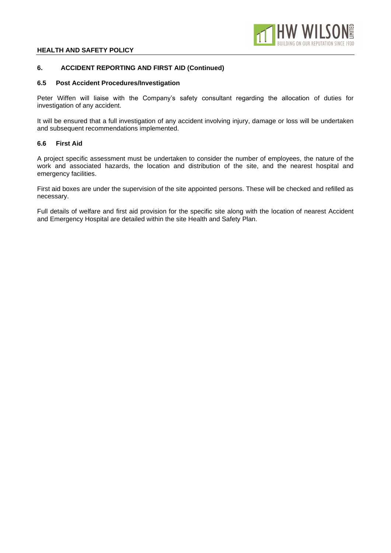## **6. ACCIDENT REPORTING AND FIRST AID (Continued)**

## **6.5 Post Accident Procedures/Investigation**

Peter Wiffen will liaise with the Company's safety consultant regarding the allocation of duties for investigation of any accident.

It will be ensured that a full investigation of any accident involving injury, damage or loss will be undertaken and subsequent recommendations implemented.

#### **6.6 First Aid**

A project specific assessment must be undertaken to consider the number of employees, the nature of the work and associated hazards, the location and distribution of the site, and the nearest hospital and emergency facilities.

First aid boxes are under the supervision of the site appointed persons. These will be checked and refilled as necessary.

Full details of welfare and first aid provision for the specific site along with the location of nearest Accident and Emergency Hospital are detailed within the site Health and Safety Plan.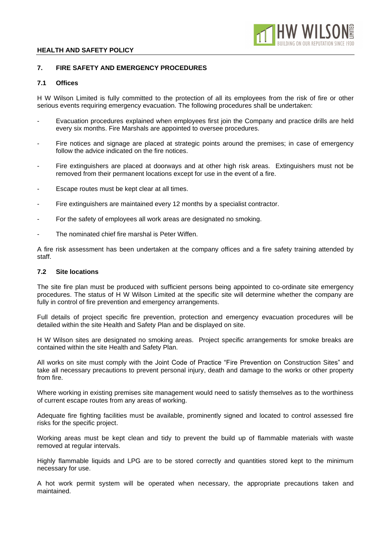

# **7. FIRE SAFETY AND EMERGENCY PROCEDURES**

## **7.1 Offices**

H W Wilson Limited is fully committed to the protection of all its employees from the risk of fire or other serious events requiring emergency evacuation. The following procedures shall be undertaken:

- Evacuation procedures explained when employees first join the Company and practice drills are held every six months. Fire Marshals are appointed to oversee procedures.
- Fire notices and signage are placed at strategic points around the premises; in case of emergency follow the advice indicated on the fire notices.
- Fire extinguishers are placed at doorways and at other high risk areas. Extinguishers must not be removed from their permanent locations except for use in the event of a fire.
- Escape routes must be kept clear at all times.
- Fire extinguishers are maintained every 12 months by a specialist contractor.
- For the safety of employees all work areas are designated no smoking.
- The nominated chief fire marshal is Peter Wiffen.

A fire risk assessment has been undertaken at the company offices and a fire safety training attended by staff.

## **7.2 Site locations**

The site fire plan must be produced with sufficient persons being appointed to co-ordinate site emergency procedures. The status of H W Wilson Limited at the specific site will determine whether the company are fully in control of fire prevention and emergency arrangements.

Full details of project specific fire prevention, protection and emergency evacuation procedures will be detailed within the site Health and Safety Plan and be displayed on site.

H W Wilson sites are designated no smoking areas. Project specific arrangements for smoke breaks are contained within the site Health and Safety Plan.

All works on site must comply with the Joint Code of Practice "Fire Prevention on Construction Sites" and take all necessary precautions to prevent personal injury, death and damage to the works or other property from fire.

Where working in existing premises site management would need to satisfy themselves as to the worthiness of current escape routes from any areas of working.

Adequate fire fighting facilities must be available, prominently signed and located to control assessed fire risks for the specific project.

Working areas must be kept clean and tidy to prevent the build up of flammable materials with waste removed at regular intervals.

Highly flammable liquids and LPG are to be stored correctly and quantities stored kept to the minimum necessary for use.

A hot work permit system will be operated when necessary, the appropriate precautions taken and maintained.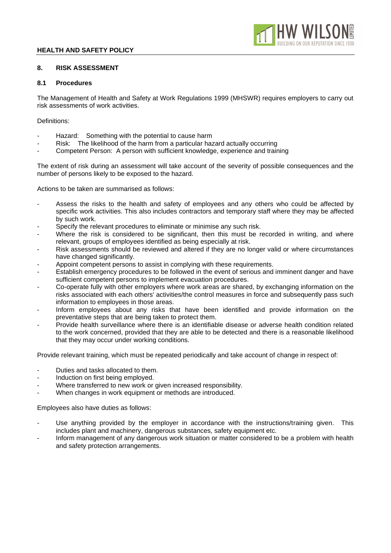

## **8. RISK ASSESSMENT**

## **8.1 Procedures**

The Management of Health and Safety at Work Regulations 1999 (MHSWR) requires employers to carry out risk assessments of work activities.

Definitions:

- Hazard: Something with the potential to cause harm
- Risk: The likelihood of the harm from a particular hazard actually occurring
- Competent Person: A person with sufficient knowledge, experience and training

The extent of risk during an assessment will take account of the severity of possible consequences and the number of persons likely to be exposed to the hazard.

Actions to be taken are summarised as follows:

- Assess the risks to the health and safety of employees and any others who could be affected by specific work activities. This also includes contractors and temporary staff where they may be affected by such work.
- Specify the relevant procedures to eliminate or minimise any such risk.
- Where the risk is considered to be significant, then this must be recorded in writing, and where relevant, groups of employees identified as being especially at risk.
- Risk assessments should be reviewed and altered if they are no longer valid or where circumstances have changed significantly.
- Appoint competent persons to assist in complying with these requirements.
- Establish emergency procedures to be followed in the event of serious and imminent danger and have sufficient competent persons to implement evacuation procedures.
- Co-operate fully with other employers where work areas are shared, by exchanging information on the risks associated with each others' activities/the control measures in force and subsequently pass such information to employees in those areas.
- Inform employees about any risks that have been identified and provide information on the preventative steps that are being taken to protect them.
- Provide health surveillance where there is an identifiable disease or adverse health condition related to the work concerned, provided that they are able to be detected and there is a reasonable likelihood that they may occur under working conditions.

Provide relevant training, which must be repeated periodically and take account of change in respect of:

- Duties and tasks allocated to them.
- Induction on first being employed.
- Where transferred to new work or given increased responsibility.
- When changes in work equipment or methods are introduced.

Employees also have duties as follows:

- Use anything provided by the employer in accordance with the instructions/training given. This includes plant and machinery, dangerous substances, safety equipment etc.
- Inform management of any dangerous work situation or matter considered to be a problem with health and safety protection arrangements.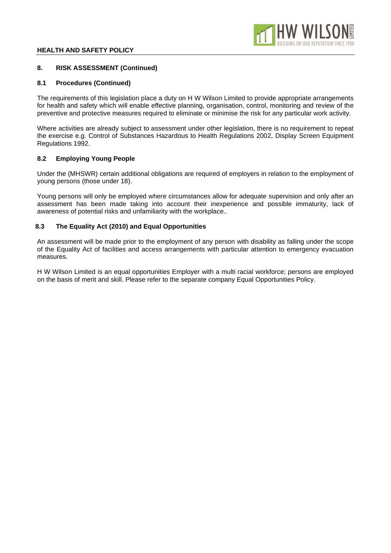## **8. RISK ASSESSMENT (Continued)**

## **8.1 Procedures (Continued)**

The requirements of this legislation place a duty on H W Wilson Limited to provide appropriate arrangements for health and safety which will enable effective planning, organisation, control, monitoring and review of the preventive and protective measures required to eliminate or minimise the risk for any particular work activity.

Where activities are already subject to assessment under other legislation, there is no requirement to repeat the exercise e.g. Control of Substances Hazardous to Health Regulations 2002, Display Screen Equipment Regulations 1992.

## **8.2 Employing Young People**

Under the (MHSWR) certain additional obligations are required of employers in relation to the employment of young persons (those under 18).

Young persons will only be employed where circumstances allow for adequate supervision and only after an assessment has been made taking into account their inexperience and possible immaturity, lack of awareness of potential risks and unfamiliarity with the workplace..

## **8.3 The Equality Act (2010) and Equal Opportunities**

An assessment will be made prior to the employment of any person with disability as falling under the scope of the Equality Act of facilities and access arrangements with particular attention to emergency evacuation measures.

H W Wilson Limited is an equal opportunities Employer with a multi racial workforce; persons are employed on the basis of merit and skill. Please refer to the separate company Equal Opportunities Policy.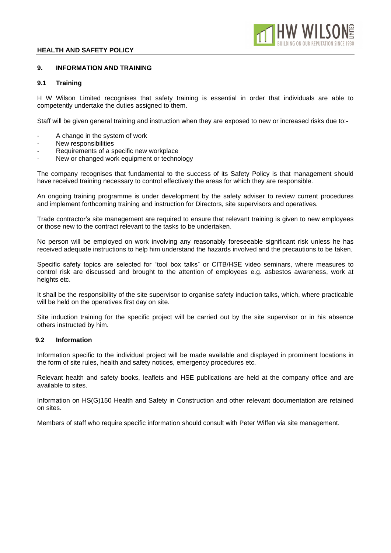

## **9. INFORMATION AND TRAINING**

#### **9.1 Training**

H W Wilson Limited recognises that safety training is essential in order that individuals are able to competently undertake the duties assigned to them.

Staff will be given general training and instruction when they are exposed to new or increased risks due to:-

- A change in the system of work
- New responsibilities
- Requirements of a specific new workplace
- New or changed work equipment or technology

The company recognises that fundamental to the success of its Safety Policy is that management should have received training necessary to control effectively the areas for which they are responsible.

An ongoing training programme is under development by the safety adviser to review current procedures and implement forthcoming training and instruction for Directors, site supervisors and operatives.

Trade contractor's site management are required to ensure that relevant training is given to new employees or those new to the contract relevant to the tasks to be undertaken.

No person will be employed on work involving any reasonably foreseeable significant risk unless he has received adequate instructions to help him understand the hazards involved and the precautions to be taken.

Specific safety topics are selected for "tool box talks" or CITB/HSE video seminars, where measures to control risk are discussed and brought to the attention of employees e.g. asbestos awareness, work at heights etc.

It shall be the responsibility of the site supervisor to organise safety induction talks, which, where practicable will be held on the operatives first day on site.

Site induction training for the specific project will be carried out by the site supervisor or in his absence others instructed by him.

#### **9.2 Information**

Information specific to the individual project will be made available and displayed in prominent locations in the form of site rules, health and safety notices, emergency procedures etc.

Relevant health and safety books, leaflets and HSE publications are held at the company office and are available to sites.

Information on HS(G)150 Health and Safety in Construction and other relevant documentation are retained on sites.

Members of staff who require specific information should consult with Peter Wiffen via site management.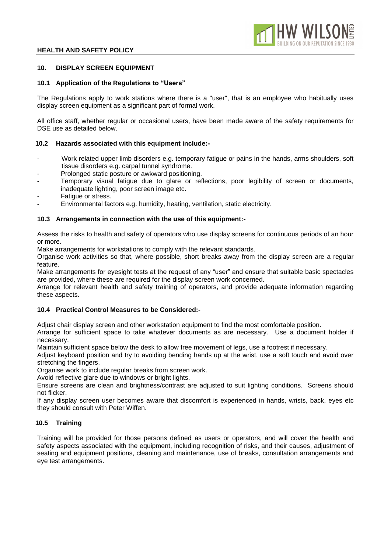

## **10. DISPLAY SCREEN EQUIPMENT**

#### **10.1 Application of the Regulations to "Users"**

The Regulations apply to work stations where there is a "user", that is an employee who habitually uses display screen equipment as a significant part of formal work.

All office staff, whether regular or occasional users, have been made aware of the safety requirements for DSE use as detailed below.

#### **10.2 Hazards associated with this equipment include:-**

- Work related upper limb disorders e.g. temporary fatigue or pains in the hands, arms shoulders, soft tissue disorders e.g. carpal tunnel syndrome.
- Prolonged static posture or awkward positioning.
- Temporary visual fatigue due to glare or reflections, poor legibility of screen or documents, inadequate lighting, poor screen image etc.
- Fatigue or stress.
- Environmental factors e.g. humidity, heating, ventilation, static electricity.

#### **10.3 Arrangements in connection with the use of this equipment:-**

Assess the risks to health and safety of operators who use display screens for continuous periods of an hour or more.

Make arrangements for workstations to comply with the relevant standards.

Organise work activities so that, where possible, short breaks away from the display screen are a regular feature.

Make arrangements for eyesight tests at the request of any "user" and ensure that suitable basic spectacles are provided, where these are required for the display screen work concerned.

Arrange for relevant health and safety training of operators, and provide adequate information regarding these aspects.

## **10.4 Practical Control Measures to be Considered:-**

Adjust chair display screen and other workstation equipment to find the most comfortable position.

Arrange for sufficient space to take whatever documents as are necessary. Use a document holder if necessary.

Maintain sufficient space below the desk to allow free movement of legs, use a footrest if necessary.

Adjust keyboard position and try to avoiding bending hands up at the wrist, use a soft touch and avoid over stretching the fingers.

Organise work to include regular breaks from screen work.

Avoid reflective glare due to windows or bright lights.

Ensure screens are clean and brightness/contrast are adjusted to suit lighting conditions. Screens should not flicker.

If any display screen user becomes aware that discomfort is experienced in hands, wrists, back, eyes etc they should consult with Peter Wiffen.

## **10.5 Training**

Training will be provided for those persons defined as users or operators, and will cover the health and safety aspects associated with the equipment, including recognition of risks, and their causes, adjustment of seating and equipment positions, cleaning and maintenance, use of breaks, consultation arrangements and eye test arrangements.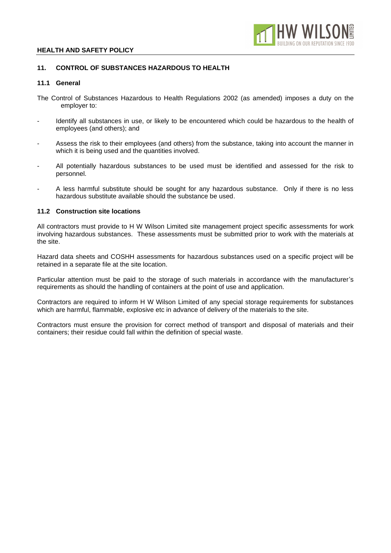

## **11. CONTROL OF SUBSTANCES HAZARDOUS TO HEALTH**

#### **11.1 General**

- The Control of Substances Hazardous to Health Regulations 2002 (as amended) imposes a duty on the employer to:
- Identify all substances in use, or likely to be encountered which could be hazardous to the health of employees (and others); and
- Assess the risk to their employees (and others) from the substance, taking into account the manner in which it is being used and the quantities involved.
- All potentially hazardous substances to be used must be identified and assessed for the risk to personnel.
- A less harmful substitute should be sought for any hazardous substance. Only if there is no less hazardous substitute available should the substance be used.

## **11.2 Construction site locations**

All contractors must provide to H W Wilson Limited site management project specific assessments for work involving hazardous substances. These assessments must be submitted prior to work with the materials at the site.

Hazard data sheets and COSHH assessments for hazardous substances used on a specific project will be retained in a separate file at the site location.

Particular attention must be paid to the storage of such materials in accordance with the manufacturer's requirements as should the handling of containers at the point of use and application.

Contractors are required to inform H W Wilson Limited of any special storage requirements for substances which are harmful, flammable, explosive etc in advance of delivery of the materials to the site.

Contractors must ensure the provision for correct method of transport and disposal of materials and their containers; their residue could fall within the definition of special waste.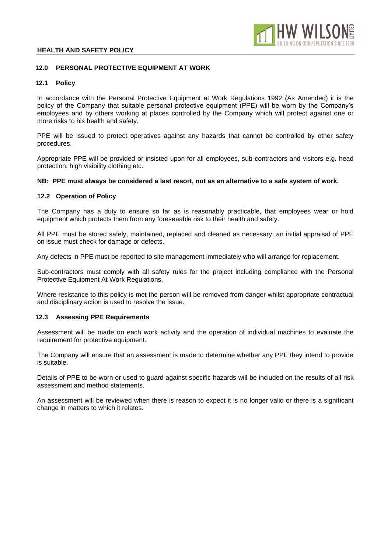

## **12.0 PERSONAL PROTECTIVE EQUIPMENT AT WORK**

## **12.1 Policy**

In accordance with the Personal Protective Equipment at Work Regulations 1992 (As Amended) it is the policy of the Company that suitable personal protective equipment (PPE) will be worn by the Company's employees and by others working at places controlled by the Company which will protect against one or more risks to his health and safety.

PPE will be issued to protect operatives against any hazards that cannot be controlled by other safety procedures.

Appropriate PPE will be provided or insisted upon for all employees, sub-contractors and visitors e.g. head protection, high visibility clothing etc.

#### **NB: PPE must always be considered a last resort, not as an alternative to a safe system of work.**

#### **12.2 Operation of Policy**

The Company has a duty to ensure so far as is reasonably practicable, that employees wear or hold equipment which protects them from any foreseeable risk to their health and safety.

All PPE must be stored safely, maintained, replaced and cleaned as necessary; an initial appraisal of PPE on issue must check for damage or defects.

Any defects in PPE must be reported to site management immediately who will arrange for replacement.

Sub-contractors must comply with all safety rules for the project including compliance with the Personal Protective Equipment At Work Regulations.

Where resistance to this policy is met the person will be removed from danger whilst appropriate contractual and disciplinary action is used to resolve the issue.

## **12.3 Assessing PPE Requirements**

Assessment will be made on each work activity and the operation of individual machines to evaluate the requirement for protective equipment.

The Company will ensure that an assessment is made to determine whether any PPE they intend to provide is suitable.

Details of PPE to be worn or used to guard against specific hazards will be included on the results of all risk assessment and method statements.

An assessment will be reviewed when there is reason to expect it is no longer valid or there is a significant change in matters to which it relates.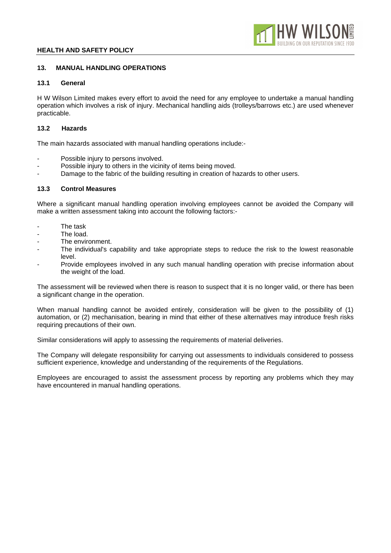

# **13. MANUAL HANDLING OPERATIONS**

# **13.1 General**

H W Wilson Limited makes every effort to avoid the need for any employee to undertake a manual handling operation which involves a risk of injury. Mechanical handling aids (trolleys/barrows etc.) are used whenever practicable.

# **13.2 Hazards**

The main hazards associated with manual handling operations include:-

- Possible injury to persons involved.
- Possible injury to others in the vicinity of items being moved.
- Damage to the fabric of the building resulting in creation of hazards to other users.

# **13.3 Control Measures**

Where a significant manual handling operation involving employees cannot be avoided the Company will make a written assessment taking into account the following factors:-

- The task
- The load.
- The environment.
- The individual's capability and take appropriate steps to reduce the risk to the lowest reasonable level.
- Provide employees involved in any such manual handling operation with precise information about the weight of the load.

The assessment will be reviewed when there is reason to suspect that it is no longer valid, or there has been a significant change in the operation.

When manual handling cannot be avoided entirely, consideration will be given to the possibility of (1) automation, or (2) mechanisation, bearing in mind that either of these alternatives may introduce fresh risks requiring precautions of their own.

Similar considerations will apply to assessing the requirements of material deliveries.

The Company will delegate responsibility for carrying out assessments to individuals considered to possess sufficient experience, knowledge and understanding of the requirements of the Regulations.

Employees are encouraged to assist the assessment process by reporting any problems which they may have encountered in manual handling operations.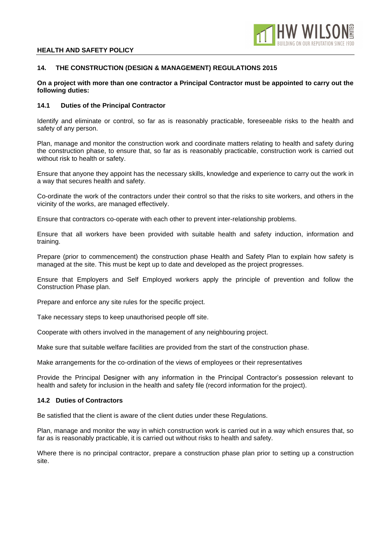

## **14. THE CONSTRUCTION (DESIGN & MANAGEMENT) REGULATIONS 2015**

## **On a project with more than one contractor a Principal Contractor must be appointed to carry out the following duties:**

## **14.1 Duties of the Principal Contractor**

Identify and eliminate or control, so far as is reasonably practicable, foreseeable risks to the health and safety of any person.

Plan, manage and monitor the construction work and coordinate matters relating to health and safety during the construction phase, to ensure that, so far as is reasonably practicable, construction work is carried out without risk to health or safety.

Ensure that anyone they appoint has the necessary skills, knowledge and experience to carry out the work in a way that secures health and safety.

Co-ordinate the work of the contractors under their control so that the risks to site workers, and others in the vicinity of the works, are managed effectively.

Ensure that contractors co-operate with each other to prevent inter-relationship problems.

Ensure that all workers have been provided with suitable health and safety induction, information and training.

Prepare (prior to commencement) the construction phase Health and Safety Plan to explain how safety is managed at the site. This must be kept up to date and developed as the project progresses.

Ensure that Employers and Self Employed workers apply the principle of prevention and follow the Construction Phase plan.

Prepare and enforce any site rules for the specific project.

Take necessary steps to keep unauthorised people off site.

Cooperate with others involved in the management of any neighbouring project.

Make sure that suitable welfare facilities are provided from the start of the construction phase.

Make arrangements for the co-ordination of the views of employees or their representatives

Provide the Principal Designer with any information in the Principal Contractor's possession relevant to health and safety for inclusion in the health and safety file (record information for the project).

## **14.2 Duties of Contractors**

Be satisfied that the client is aware of the client duties under these Regulations.

Plan, manage and monitor the way in which construction work is carried out in a way which ensures that, so far as is reasonably practicable, it is carried out without risks to health and safety.

Where there is no principal contractor, prepare a construction phase plan prior to setting up a construction site.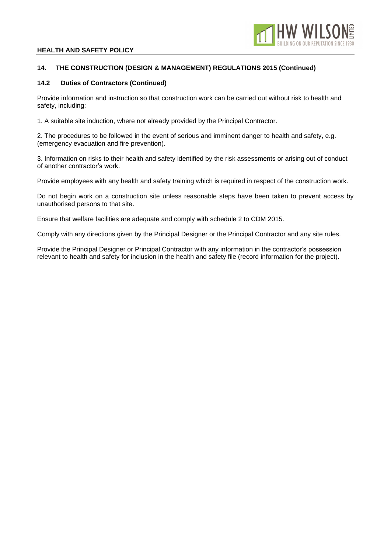

## **14. THE CONSTRUCTION (DESIGN & MANAGEMENT) REGULATIONS 2015 (Continued)**

## **14.2 Duties of Contractors (Continued)**

Provide information and instruction so that construction work can be carried out without risk to health and safety, including:

1. A suitable site induction, where not already provided by the Principal Contractor.

2. The procedures to be followed in the event of serious and imminent danger to health and safety, e.g. (emergency evacuation and fire prevention).

3. Information on risks to their health and safety identified by the risk assessments or arising out of conduct of another contractor's work.

Provide employees with any health and safety training which is required in respect of the construction work.

Do not begin work on a construction site unless reasonable steps have been taken to prevent access by unauthorised persons to that site.

Ensure that welfare facilities are adequate and comply with schedule 2 to CDM 2015.

Comply with any directions given by the Principal Designer or the Principal Contractor and any site rules.

Provide the Principal Designer or Principal Contractor with any information in the contractor's possession relevant to health and safety for inclusion in the health and safety file (record information for the project).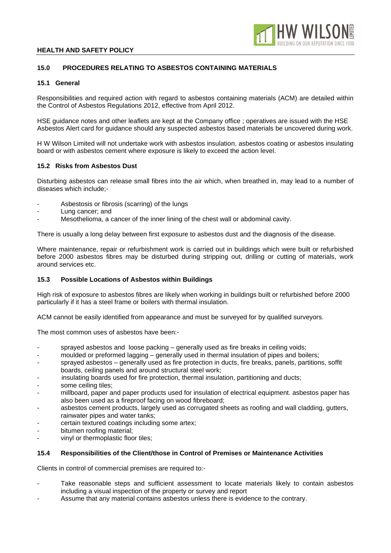

# **15.0 PROCEDURES RELATING TO ASBESTOS CONTAINING MATERIALS**

## **15.1 General**

Responsibilities and required action with regard to asbestos containing materials (ACM) are detailed within the Control of Asbestos Regulations 2012, effective from April 2012.

HSE guidance notes and other leaflets are kept at the Company office ; operatives are issued with the HSE Asbestos Alert card for guidance should any suspected asbestos based materials be uncovered during work.

H W Wilson Limited will not undertake work with asbestos insulation, asbestos coating or asbestos insulating board or with asbestos cement where exposure is likely to exceed the action level.

## **15.2 Risks from Asbestos Dust**

Disturbing asbestos can release small fibres into the air which, when breathed in, may lead to a number of diseases which include;-

- Asbestosis or fibrosis (scarring) of the lungs
- Lung cancer; and
- Mesothelioma, a cancer of the inner lining of the chest wall or abdominal cavity.

There is usually a long delay between first exposure to asbestos dust and the diagnosis of the disease.

Where maintenance, repair or refurbishment work is carried out in buildings which were built or refurbished before 2000 asbestos fibres may be disturbed during stripping out, drilling or cutting of materials, work around services etc.

## **15.3 Possible Locations of Asbestos within Buildings**

High risk of exposure to asbestos fibres are likely when working in buildings built or refurbished before 2000 particularly if it has a steel frame or boilers with thermal insulation.

ACM cannot be easily identified from appearance and must be surveyed for by qualified surveyors.

The most common uses of asbestos have been:-

- sprayed asbestos and loose packing generally used as fire breaks in ceiling voids;
- moulded or preformed lagging generally used in thermal insulation of pipes and boilers;
- sprayed asbestos generally used as fire protection in ducts, fire breaks, panels, partitions, soffit boards, ceiling panels and around structural steel work;
- insulating boards used for fire protection, thermal insulation, partitioning and ducts;
- some ceiling tiles:
- millboard, paper and paper products used for insulation of electrical equipment. asbestos paper has also been used as a fireproof facing on wood fibreboard;
- asbestos cement products, largely used as corrugated sheets as roofing and wall cladding, gutters, rainwater pipes and water tanks;
- certain textured coatings including some artex;
- bitumen roofing material;
- vinyl or thermoplastic floor tiles;

#### **15.4 Responsibilities of the Client/those in Control of Premises or Maintenance Activities**

Clients in control of commercial premises are required to:-

- Take reasonable steps and sufficient assessment to locate materials likely to contain asbestos including a visual inspection of the property or survey and report
- Assume that any material contains asbestos unless there is evidence to the contrary.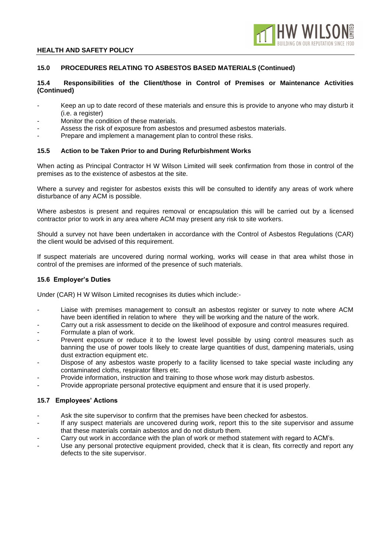

## **15.0 PROCEDURES RELATING TO ASBESTOS BASED MATERIALS (Continued)**

## **15.4 Responsibilities of the Client/those in Control of Premises or Maintenance Activities (Continued)**

- Keep an up to date record of these materials and ensure this is provide to anyone who may disturb it (i.e. a register)
- Monitor the condition of these materials.
- Assess the risk of exposure from asbestos and presumed asbestos materials.
- Prepare and implement a management plan to control these risks.

#### **15.5 Action to be Taken Prior to and During Refurbishment Works**

When acting as Principal Contractor H W Wilson Limited will seek confirmation from those in control of the premises as to the existence of asbestos at the site.

Where a survey and register for asbestos exists this will be consulted to identify any areas of work where disturbance of any ACM is possible.

Where asbestos is present and requires removal or encapsulation this will be carried out by a licensed contractor prior to work in any area where ACM may present any risk to site workers.

Should a survey not have been undertaken in accordance with the Control of Asbestos Regulations (CAR) the client would be advised of this requirement.

If suspect materials are uncovered during normal working, works will cease in that area whilst those in control of the premises are informed of the presence of such materials.

## **15.6 Employer's Duties**

Under (CAR) H W Wilson Limited recognises its duties which include:-

- Liaise with premises management to consult an asbestos register or survey to note where ACM have been identified in relation to where they will be working and the nature of the work.
- Carry out a risk assessment to decide on the likelihood of exposure and control measures required.
- Formulate a plan of work.
- Prevent exposure or reduce it to the lowest level possible by using control measures such as banning the use of power tools likely to create large quantities of dust, dampening materials, using dust extraction equipment etc.
- Dispose of any asbestos waste properly to a facility licensed to take special waste including any contaminated cloths, respirator filters etc.
- Provide information, instruction and training to those whose work may disturb asbestos.
- Provide appropriate personal protective equipment and ensure that it is used properly.

## **15.7 Employees' Actions**

- Ask the site supervisor to confirm that the premises have been checked for asbestos.
- If any suspect materials are uncovered during work, report this to the site supervisor and assume that these materials contain asbestos and do not disturb them.
- Carry out work in accordance with the plan of work or method statement with regard to ACM's.
- Use any personal protective equipment provided, check that it is clean, fits correctly and report any defects to the site supervisor.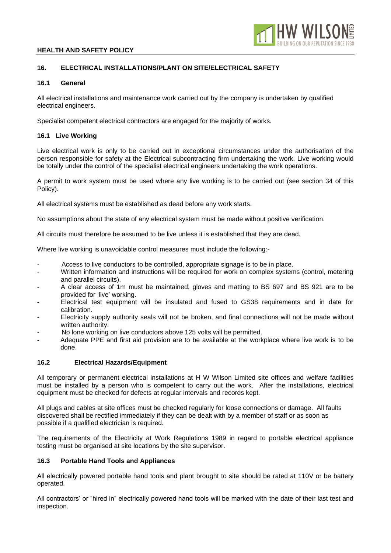

# **16. ELECTRICAL INSTALLATIONS/PLANT ON SITE/ELECTRICAL SAFETY**

## **16.1 General**

All electrical installations and maintenance work carried out by the company is undertaken by qualified electrical engineers.

Specialist competent electrical contractors are engaged for the majority of works.

## **16.1 Live Working**

Live electrical work is only to be carried out in exceptional circumstances under the authorisation of the person responsible for safety at the Electrical subcontracting firm undertaking the work. Live working would be totally under the control of the specialist electrical engineers undertaking the work operations.

A permit to work system must be used where any live working is to be carried out (see section 34 of this Policy).

All electrical systems must be established as dead before any work starts.

No assumptions about the state of any electrical system must be made without positive verification.

All circuits must therefore be assumed to be live unless it is established that they are dead.

Where live working is unavoidable control measures must include the following:-

- Access to live conductors to be controlled, appropriate signage is to be in place.
- Written information and instructions will be required for work on complex systems (control, metering and parallel circuits).
- A clear access of 1m must be maintained, gloves and matting to BS 697 and BS 921 are to be provided for 'live' working.
- Electrical test equipment will be insulated and fused to GS38 requirements and in date for calibration.
- Electricity supply authority seals will not be broken, and final connections will not be made without written authority.
- No lone working on live conductors above 125 volts will be permitted.
- Adequate PPE and first aid provision are to be available at the workplace where live work is to be done.

## **16.2 Electrical Hazards/Equipment**

All temporary or permanent electrical installations at H W Wilson Limited site offices and welfare facilities must be installed by a person who is competent to carry out the work. After the installations, electrical equipment must be checked for defects at regular intervals and records kept.

All plugs and cables at site offices must be checked regularly for loose connections or damage. All faults discovered shall be rectified immediately if they can be dealt with by a member of staff or as soon as possible if a qualified electrician is required.

The requirements of the Electricity at Work Regulations 1989 in regard to portable electrical appliance testing must be organised at site locations by the site supervisor.

## **16.3 Portable Hand Tools and Appliances**

All electrically powered portable hand tools and plant brought to site should be rated at 110V or be battery operated.

All contractors' or "hired in" electrically powered hand tools will be marked with the date of their last test and inspection.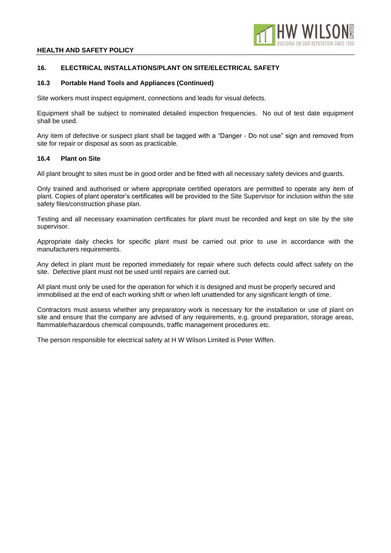

## **16. ELECTRICAL INSTALLATIONS/PLANT ON SITE/ELECTRICAL SAFETY**

## **16.3 Portable Hand Tools and Appliances (Continued)**

Site workers must inspect equipment, connections and leads for visual defects.

Equipment shall be subject to nominated detailed inspection frequencies. No out of test date equipment shall be used.

Any item of defective or suspect plant shall be tagged with a "Danger - Do not use" sign and removed from site for repair or disposal as soon as practicable.

## **16.4 Plant on Site**

All plant brought to sites must be in good order and be fitted with all necessary safety devices and guards.

Only trained and authorised or where appropriate certified operators are permitted to operate any item of plant. Copies of plant operator's certificates will be provided to the Site Supervisor for inclusion within the site safety files/construction phase plan.

Testing and all necessary examination certificates for plant must be recorded and kept on site by the site supervisor.

Appropriate daily checks for specific plant must be carried out prior to use in accordance with the manufacturers requirements.

Any defect in plant must be reported immediately for repair where such defects could affect safety on the site. Defective plant must not be used until repairs are carried out.

All plant must only be used for the operation for which it is designed and must be properly secured and immobilised at the end of each working shift or when left unattended for any significant length of time.

Contractors must assess whether any preparatory work is necessary for the installation or use of plant on site and ensure that the company are advised of any requirements, e.g. ground preparation, storage areas, flammable/hazardous chemical compounds, traffic management procedures etc.

The person responsible for electrical safety at H W Wilson Limited is Peter Wiffen.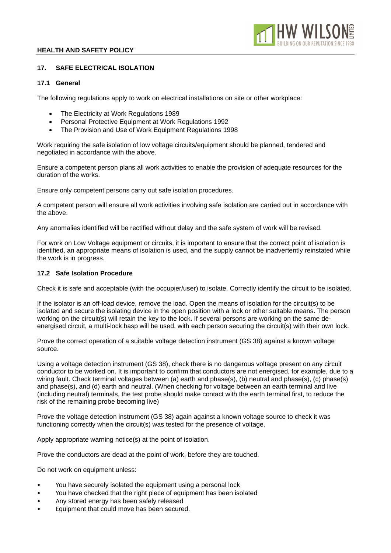

## **17. SAFE ELECTRICAL ISOLATION**

## **17.1 General**

The following regulations apply to work on electrical installations on site or other workplace:

- The Electricity at Work Regulations 1989
- Personal Protective Equipment at Work Regulations 1992
- The Provision and Use of Work Equipment Regulations 1998

Work requiring the safe isolation of low voltage circuits/equipment should be planned, tendered and negotiated in accordance with the above.

Ensure a competent person plans all work activities to enable the provision of adequate resources for the duration of the works.

Ensure only competent persons carry out safe isolation procedures.

A competent person will ensure all work activities involving safe isolation are carried out in accordance with the above.

Any anomalies identified will be rectified without delay and the safe system of work will be revised.

For work on Low Voltage equipment or circuits, it is important to ensure that the correct point of isolation is identified, an appropriate means of isolation is used, and the supply cannot be inadvertently reinstated while the work is in progress.

## **17.2 Safe Isolation Procedure**

Check it is safe and acceptable (with the occupier/user) to isolate. Correctly identify the circuit to be isolated.

If the isolator is an off-load device, remove the load. Open the means of isolation for the circuit(s) to be isolated and secure the isolating device in the open position with a lock or other suitable means. The person working on the circuit(s) will retain the key to the lock. If several persons are working on the same deenergised circuit, a multi-lock hasp will be used, with each person securing the circuit(s) with their own lock.

Prove the correct operation of a suitable voltage detection instrument (GS 38) against a known voltage source.

Using a voltage detection instrument (GS 38), check there is no dangerous voltage present on any circuit conductor to be worked on. It is important to confirm that conductors are not energised, for example, due to a wiring fault. Check terminal voltages between (a) earth and phase(s), (b) neutral and phase(s), (c) phase(s) and phase(s), and (d) earth and neutral. (When checking for voltage between an earth terminal and live (including neutral) terminals, the test probe should make contact with the earth terminal first, to reduce the risk of the remaining probe becoming live)

Prove the voltage detection instrument (GS 38) again against a known voltage source to check it was functioning correctly when the circuit(s) was tested for the presence of voltage.

Apply appropriate warning notice(s) at the point of isolation.

Prove the conductors are dead at the point of work, before they are touched.

Do not work on equipment unless:

- You have securely isolated the equipment using a personal lock
- You have checked that the right piece of equipment has been isolated
- Any stored energy has been safely released
- Equipment that could move has been secured.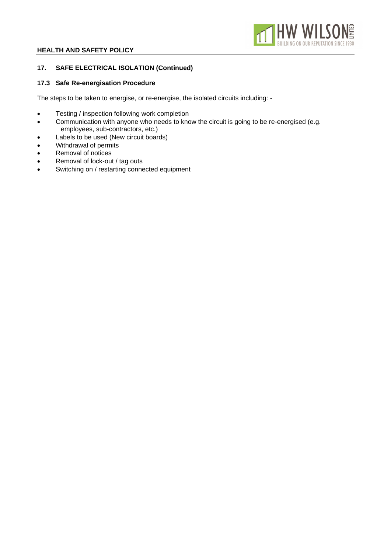

# **17. SAFE ELECTRICAL ISOLATION (Continued)**

## **17.3 Safe Re-energisation Procedure**

The steps to be taken to energise, or re-energise, the isolated circuits including: -

- Testing / inspection following work completion
- Communication with anyone who needs to know the circuit is going to be re-energised (e.g. employees, sub-contractors, etc.)
- Labels to be used (New circuit boards)
- Withdrawal of permits
- Removal of notices
- Removal of lock-out / tag outs
- Switching on / restarting connected equipment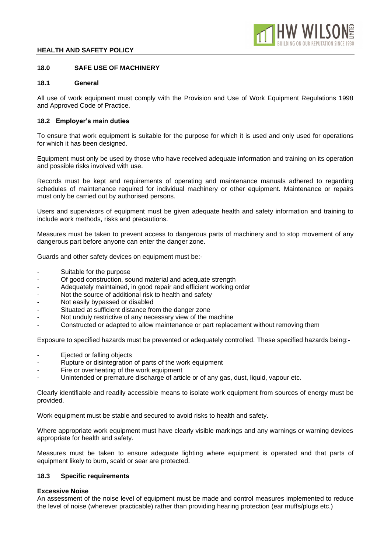

## **18.0 SAFE USE OF MACHINERY**

#### **18.1 General**

All use of work equipment must comply with the Provision and Use of Work Equipment Regulations 1998 and Approved Code of Practice.

## **18.2 Employer's main duties**

To ensure that work equipment is suitable for the purpose for which it is used and only used for operations for which it has been designed.

Equipment must only be used by those who have received adequate information and training on its operation and possible risks involved with use.

Records must be kept and requirements of operating and maintenance manuals adhered to regarding schedules of maintenance required for individual machinery or other equipment. Maintenance or repairs must only be carried out by authorised persons.

Users and supervisors of equipment must be given adequate health and safety information and training to include work methods, risks and precautions.

Measures must be taken to prevent access to dangerous parts of machinery and to stop movement of any dangerous part before anyone can enter the danger zone.

Guards and other safety devices on equipment must be:-

- Suitable for the purpose
- Of good construction, sound material and adequate strength
- Adequately maintained, in good repair and efficient working order
- Not the source of additional risk to health and safety
- Not easily bypassed or disabled
- Situated at sufficient distance from the danger zone
- Not unduly restrictive of any necessary view of the machine
- Constructed or adapted to allow maintenance or part replacement without removing them

Exposure to specified hazards must be prevented or adequately controlled. These specified hazards being:-

- Ejected or falling objects
- Rupture or disintegration of parts of the work equipment
- Fire or overheating of the work equipment
- Unintended or premature discharge of article or of any gas, dust, liquid, vapour etc.

Clearly identifiable and readily accessible means to isolate work equipment from sources of energy must be provided.

Work equipment must be stable and secured to avoid risks to health and safety.

Where appropriate work equipment must have clearly visible markings and any warnings or warning devices appropriate for health and safety.

Measures must be taken to ensure adequate lighting where equipment is operated and that parts of equipment likely to burn, scald or sear are protected.

#### **18.3 Specific requirements**

#### **Excessive Noise**

An assessment of the noise level of equipment must be made and control measures implemented to reduce the level of noise (wherever practicable) rather than providing hearing protection (ear muffs/plugs etc.)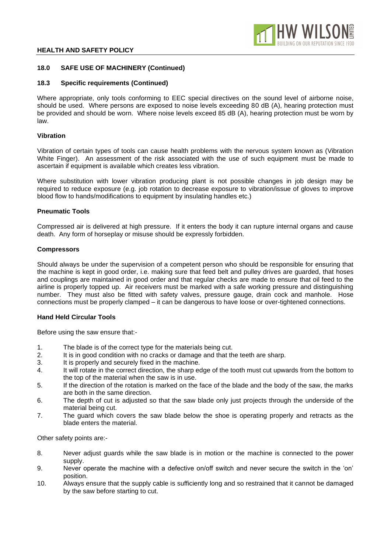

## **18.0 SAFE USE OF MACHINERY (Continued)**

## **18.3 Specific requirements (Continued)**

Where appropriate, only tools conforming to EEC special directives on the sound level of airborne noise, should be used. Where persons are exposed to noise levels exceeding 80 dB (A), hearing protection must be provided and should be worn. Where noise levels exceed 85 dB (A), hearing protection must be worn by law.

## **Vibration**

Vibration of certain types of tools can cause health problems with the nervous system known as (Vibration White Finger). An assessment of the risk associated with the use of such equipment must be made to ascertain if equipment is available which creates less vibration.

Where substitution with lower vibration producing plant is not possible changes in job design may be required to reduce exposure (e.g. job rotation to decrease exposure to vibration/issue of gloves to improve blood flow to hands/modifications to equipment by insulating handles etc.)

## **Pneumatic Tools**

Compressed air is delivered at high pressure. If it enters the body it can rupture internal organs and cause death. Any form of horseplay or misuse should be expressly forbidden.

## **Compressors**

Should always be under the supervision of a competent person who should be responsible for ensuring that the machine is kept in good order, i.e. making sure that feed belt and pulley drives are guarded, that hoses and couplings are maintained in good order and that regular checks are made to ensure that oil feed to the airline is properly topped up. Air receivers must be marked with a safe working pressure and distinguishing number. They must also be fitted with safety valves, pressure gauge, drain cock and manhole. Hose connections must be properly clamped – it can be dangerous to have loose or over-tightened connections.

## **Hand Held Circular Tools**

Before using the saw ensure that:-

- 1. The blade is of the correct type for the materials being cut.
- 2. It is in good condition with no cracks or damage and that the teeth are sharp.
- 3. It is properly and securely fixed in the machine.
- 4. It will rotate in the correct direction, the sharp edge of the tooth must cut upwards from the bottom to the top of the material when the saw is in use.
- 5. If the direction of the rotation is marked on the face of the blade and the body of the saw, the marks are both in the same direction.
- 6. The depth of cut is adjusted so that the saw blade only just projects through the underside of the material being cut.
- 7. The guard which covers the saw blade below the shoe is operating properly and retracts as the blade enters the material.

Other safety points are:-

- 8. Never adjust guards while the saw blade is in motion or the machine is connected to the power supply.
- 9. Never operate the machine with a defective on/off switch and never secure the switch in the 'on' position.
- 10. Always ensure that the supply cable is sufficiently long and so restrained that it cannot be damaged by the saw before starting to cut.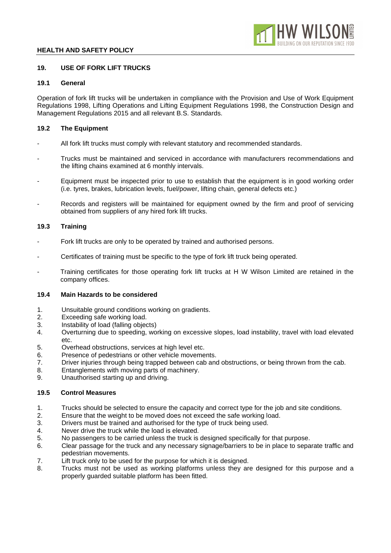

# **19. USE OF FORK LIFT TRUCKS**

# **19.1 General**

Operation of fork lift trucks will be undertaken in compliance with the Provision and Use of Work Equipment Regulations 1998, Lifting Operations and Lifting Equipment Regulations 1998, the Construction Design and Management Regulations 2015 and all relevant B.S. Standards.

## **19.2 The Equipment**

- All fork lift trucks must comply with relevant statutory and recommended standards.
- Trucks must be maintained and serviced in accordance with manufacturers recommendations and the lifting chains examined at 6 monthly intervals.
- Equipment must be inspected prior to use to establish that the equipment is in good working order (i.e. tyres, brakes, lubrication levels, fuel/power, lifting chain, general defects etc.)
- Records and registers will be maintained for equipment owned by the firm and proof of servicing obtained from suppliers of any hired fork lift trucks.

## **19.3 Training**

- Fork lift trucks are only to be operated by trained and authorised persons.
- Certificates of training must be specific to the type of fork lift truck being operated.
- Training certificates for those operating fork lift trucks at H W Wilson Limited are retained in the company offices.

## **19.4 Main Hazards to be considered**

- 1. Unsuitable ground conditions working on gradients.
- 2. Exceeding safe working load.
- 3. Instability of load (falling objects)
- 4. Overturning due to speeding, working on excessive slopes, load instability, travel with load elevated etc.
- 5. Overhead obstructions, services at high level etc.
- 6. Presence of pedestrians or other vehicle movements.
- 7. Driver injuries through being trapped between cab and obstructions, or being thrown from the cab.
- 8. Entanglements with moving parts of machinery.
- 9. Unauthorised starting up and driving.

## **19.5 Control Measures**

- 1. Trucks should be selected to ensure the capacity and correct type for the job and site conditions.
- 2. Ensure that the weight to be moved does not exceed the safe working load.
- 3. Drivers must be trained and authorised for the type of truck being used.
- 4. Never drive the truck while the load is elevated.
- 5. No passengers to be carried unless the truck is designed specifically for that purpose.
- 6. Clear passage for the truck and any necessary signage/barriers to be in place to separate traffic and pedestrian movements.
- 7. Lift truck only to be used for the purpose for which it is designed.
- 8. Trucks must not be used as working platforms unless they are designed for this purpose and a properly guarded suitable platform has been fitted.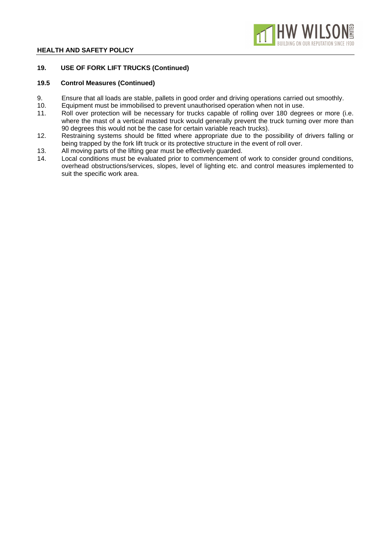

## **19. USE OF FORK LIFT TRUCKS (Continued)**

## **19.5 Control Measures (Continued)**

- 9. Ensure that all loads are stable, pallets in good order and driving operations carried out smoothly.<br>10. Equipment must be immobilised to prevent unauthorised operation when not in use.
- 10. Equipment must be immobilised to prevent unauthorised operation when not in use.<br>11. Roll over protection will be necessary for trucks capable of rolling over 180 degre
- Roll over protection will be necessary for trucks capable of rolling over 180 degrees or more (i.e. where the mast of a vertical masted truck would generally prevent the truck turning over more than 90 degrees this would not be the case for certain variable reach trucks).
- 12. Restraining systems should be fitted where appropriate due to the possibility of drivers falling or being trapped by the fork lift truck or its protective structure in the event of roll over.
- 13. All moving parts of the lifting gear must be effectively guarded.
- 14. Local conditions must be evaluated prior to commencement of work to consider ground conditions, overhead obstructions/services, slopes, level of lighting etc. and control measures implemented to suit the specific work area.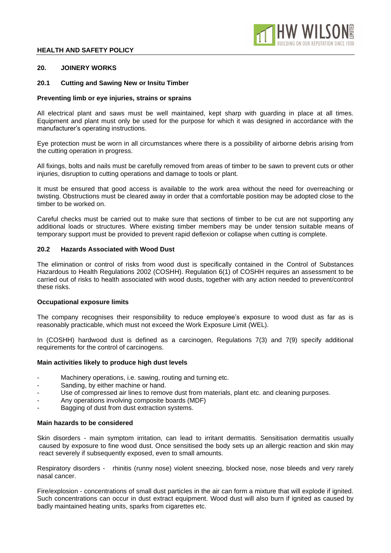

### **20. JOINERY WORKS**

#### **20.1 Cutting and Sawing New or Insitu Timber**

#### **Preventing limb or eye injuries, strains or sprains**

All electrical plant and saws must be well maintained, kept sharp with guarding in place at all times. Equipment and plant must only be used for the purpose for which it was designed in accordance with the manufacturer's operating instructions.

Eye protection must be worn in all circumstances where there is a possibility of airborne debris arising from the cutting operation in progress.

All fixings, bolts and nails must be carefully removed from areas of timber to be sawn to prevent cuts or other injuries, disruption to cutting operations and damage to tools or plant.

It must be ensured that good access is available to the work area without the need for overreaching or twisting. Obstructions must be cleared away in order that a comfortable position may be adopted close to the timber to be worked on.

Careful checks must be carried out to make sure that sections of timber to be cut are not supporting any additional loads or structures. Where existing timber members may be under tension suitable means of temporary support must be provided to prevent rapid deflexion or collapse when cutting is complete.

## **20.2 Hazards Associated with Wood Dust**

The elimination or control of risks from wood dust is specifically contained in the Control of Substances Hazardous to Health Regulations 2002 (COSHH). Regulation 6(1) of COSHH requires an assessment to be carried out of risks to health associated with wood dusts, together with any action needed to prevent/control these risks.

#### **Occupational exposure limits**

The company recognises their responsibility to reduce employee's exposure to wood dust as far as is reasonably practicable, which must not exceed the Work Exposure Limit (WEL).

In (COSHH) hardwood dust is defined as a carcinogen, Regulations 7(3) and 7(9) specify additional requirements for the control of carcinogens.

#### **Main activities likely to produce high dust levels**

- Machinery operations, i.e. sawing, routing and turning etc.
- Sanding, by either machine or hand.
- Use of compressed air lines to remove dust from materials, plant etc. and cleaning purposes.
- Any operations involving composite boards (MDF)
- Bagging of dust from dust extraction systems.

#### **Main hazards to be considered**

Skin disorders - main symptom irritation, can lead to irritant dermatitis. Sensitisation dermatitis usually caused by exposure to fine wood dust. Once sensitised the body sets up an allergic reaction and skin may react severely if subsequently exposed, even to small amounts.

Respiratory disorders - rhinitis (runny nose) violent sneezing, blocked nose, nose bleeds and very rarely nasal cancer.

Fire/explosion - concentrations of small dust particles in the air can form a mixture that will explode if ignited. Such concentrations can occur in dust extract equipment. Wood dust will also burn if ignited as caused by badly maintained heating units, sparks from cigarettes etc.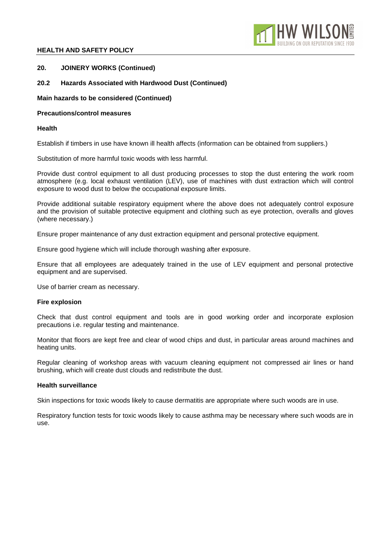

## **20. JOINERY WORKS (Continued)**

## **20.2 Hazards Associated with Hardwood Dust (Continued)**

## **Main hazards to be considered (Continued)**

## **Precautions/control measures**

## **Health**

Establish if timbers in use have known ill health affects (information can be obtained from suppliers.)

Substitution of more harmful toxic woods with less harmful.

Provide dust control equipment to all dust producing processes to stop the dust entering the work room atmosphere (e.g. local exhaust ventilation (LEV), use of machines with dust extraction which will control exposure to wood dust to below the occupational exposure limits.

Provide additional suitable respiratory equipment where the above does not adequately control exposure and the provision of suitable protective equipment and clothing such as eye protection, overalls and gloves (where necessary.)

Ensure proper maintenance of any dust extraction equipment and personal protective equipment.

Ensure good hygiene which will include thorough washing after exposure.

Ensure that all employees are adequately trained in the use of LEV equipment and personal protective equipment and are supervised.

Use of barrier cream as necessary.

## **Fire explosion**

Check that dust control equipment and tools are in good working order and incorporate explosion precautions i.e. regular testing and maintenance.

Monitor that floors are kept free and clear of wood chips and dust, in particular areas around machines and heating units.

Regular cleaning of workshop areas with vacuum cleaning equipment not compressed air lines or hand brushing, which will create dust clouds and redistribute the dust.

## **Health surveillance**

Skin inspections for toxic woods likely to cause dermatitis are appropriate where such woods are in use.

Respiratory function tests for toxic woods likely to cause asthma may be necessary where such woods are in use.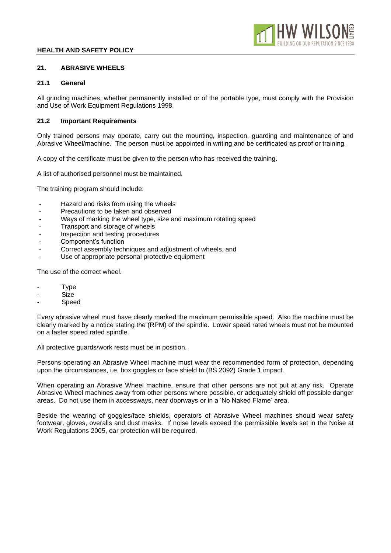

# **21. ABRASIVE WHEELS**

# **21.1 General**

All grinding machines, whether permanently installed or of the portable type, must comply with the Provision and Use of Work Equipment Regulations 1998.

# **21.2 Important Requirements**

Only trained persons may operate, carry out the mounting, inspection, guarding and maintenance of and Abrasive Wheel/machine. The person must be appointed in writing and be certificated as proof or training.

A copy of the certificate must be given to the person who has received the training.

A list of authorised personnel must be maintained.

The training program should include:

- Hazard and risks from using the wheels
- Precautions to be taken and observed
- Ways of marking the wheel type, size and maximum rotating speed
- Transport and storage of wheels
- Inspection and testing procedures
- Component's function
- Correct assembly techniques and adjustment of wheels, and
- Use of appropriate personal protective equipment

The use of the correct wheel.

- **Type**
- Size
- **Speed**

Every abrasive wheel must have clearly marked the maximum permissible speed. Also the machine must be clearly marked by a notice stating the (RPM) of the spindle. Lower speed rated wheels must not be mounted on a faster speed rated spindle.

All protective guards/work rests must be in position.

Persons operating an Abrasive Wheel machine must wear the recommended form of protection, depending upon the circumstances, i.e. box goggles or face shield to (BS 2092) Grade 1 impact.

When operating an Abrasive Wheel machine, ensure that other persons are not put at any risk. Operate Abrasive Wheel machines away from other persons where possible, or adequately shield off possible danger areas. Do not use them in accessways, near doorways or in a 'No Naked Flame' area.

Beside the wearing of goggles/face shields, operators of Abrasive Wheel machines should wear safety footwear, gloves, overalls and dust masks. If noise levels exceed the permissible levels set in the Noise at Work Regulations 2005, ear protection will be required.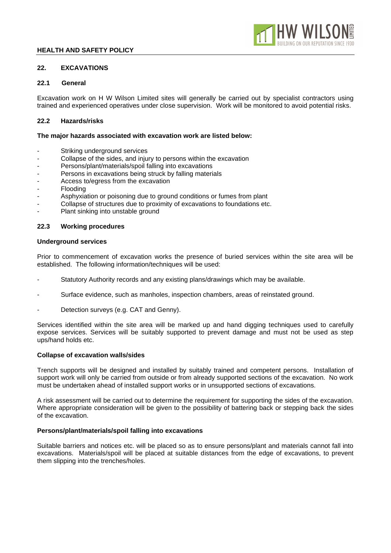## **22. EXCAVATIONS**

### **22.1 General**

Excavation work on H W Wilson Limited sites will generally be carried out by specialist contractors using trained and experienced operatives under close supervision. Work will be monitored to avoid potential risks.

## **22.2 Hazards/risks**

#### **The major hazards associated with excavation work are listed below:**

- Striking underground services
- Collapse of the sides, and injury to persons within the excavation
- Persons/plant/materials/spoil falling into excavations
- Persons in excavations being struck by falling materials
- Access to/egress from the excavation
- **Flooding**
- Asphyxiation or poisoning due to ground conditions or fumes from plant
- Collapse of structures due to proximity of excavations to foundations etc.
- Plant sinking into unstable ground

#### **22.3 Working procedures**

#### **Underground services**

Prior to commencement of excavation works the presence of buried services within the site area will be established. The following information/techniques will be used:

- Statutory Authority records and any existing plans/drawings which may be available.
- Surface evidence, such as manholes, inspection chambers, areas of reinstated ground.
- Detection surveys (e.g. CAT and Genny).

Services identified within the site area will be marked up and hand digging techniques used to carefully expose services. Services will be suitably supported to prevent damage and must not be used as step ups/hand holds etc.

#### **Collapse of excavation walls/sides**

Trench supports will be designed and installed by suitably trained and competent persons. Installation of support work will only be carried from outside or from already supported sections of the excavation. No work must be undertaken ahead of installed support works or in unsupported sections of excavations.

A risk assessment will be carried out to determine the requirement for supporting the sides of the excavation. Where appropriate consideration will be given to the possibility of battering back or stepping back the sides of the excavation.

#### **Persons/plant/materials/spoil falling into excavations**

Suitable barriers and notices etc. will be placed so as to ensure persons/plant and materials cannot fall into excavations. Materials/spoil will be placed at suitable distances from the edge of excavations, to prevent them slipping into the trenches/holes.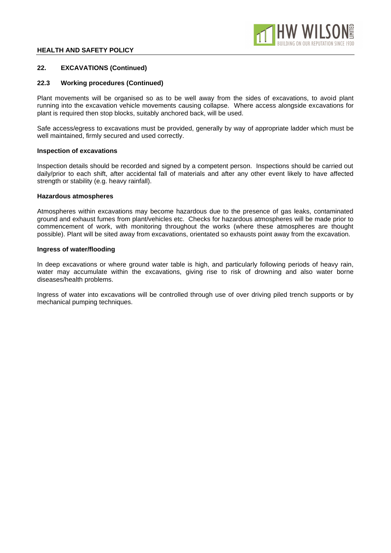

## **22. EXCAVATIONS (Continued)**

#### **22.3 Working procedures (Continued)**

Plant movements will be organised so as to be well away from the sides of excavations, to avoid plant running into the excavation vehicle movements causing collapse. Where access alongside excavations for plant is required then stop blocks, suitably anchored back, will be used.

Safe access/egress to excavations must be provided, generally by way of appropriate ladder which must be well maintained, firmly secured and used correctly.

#### **Inspection of excavations**

Inspection details should be recorded and signed by a competent person. Inspections should be carried out daily/prior to each shift, after accidental fall of materials and after any other event likely to have affected strength or stability (e.g. heavy rainfall).

#### **Hazardous atmospheres**

Atmospheres within excavations may become hazardous due to the presence of gas leaks, contaminated ground and exhaust fumes from plant/vehicles etc. Checks for hazardous atmospheres will be made prior to commencement of work, with monitoring throughout the works (where these atmospheres are thought possible). Plant will be sited away from excavations, orientated so exhausts point away from the excavation.

#### **Ingress of water/flooding**

In deep excavations or where ground water table is high, and particularly following periods of heavy rain, water may accumulate within the excavations, giving rise to risk of drowning and also water borne diseases/health problems.

Ingress of water into excavations will be controlled through use of over driving piled trench supports or by mechanical pumping techniques.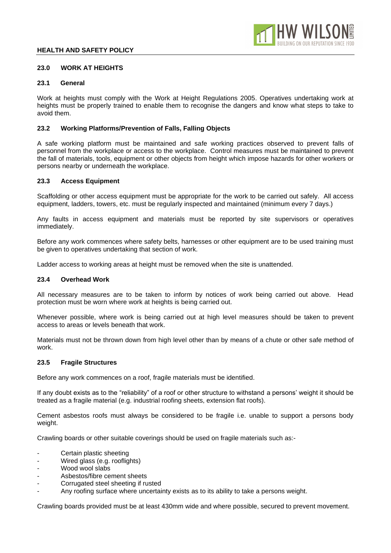

### **23.0 WORK AT HEIGHTS**

#### **23.1 General**

Work at heights must comply with the Work at Height Regulations 2005. Operatives undertaking work at heights must be properly trained to enable them to recognise the dangers and know what steps to take to avoid them.

## **23.2 Working Platforms/Prevention of Falls, Falling Objects**

A safe working platform must be maintained and safe working practices observed to prevent falls of personnel from the workplace or access to the workplace. Control measures must be maintained to prevent the fall of materials, tools, equipment or other objects from height which impose hazards for other workers or persons nearby or underneath the workplace.

#### **23.3 Access Equipment**

Scaffolding or other access equipment must be appropriate for the work to be carried out safely. All access equipment, ladders, towers, etc. must be regularly inspected and maintained (minimum every 7 days.)

Any faults in access equipment and materials must be reported by site supervisors or operatives immediately.

Before any work commences where safety belts, harnesses or other equipment are to be used training must be given to operatives undertaking that section of work.

Ladder access to working areas at height must be removed when the site is unattended.

## **23.4 Overhead Work**

All necessary measures are to be taken to inform by notices of work being carried out above. Head protection must be worn where work at heights is being carried out.

Whenever possible, where work is being carried out at high level measures should be taken to prevent access to areas or levels beneath that work.

Materials must not be thrown down from high level other than by means of a chute or other safe method of work.

#### **23.5 Fragile Structures**

Before any work commences on a roof, fragile materials must be identified.

If any doubt exists as to the "reliability" of a roof or other structure to withstand a persons' weight it should be treated as a fragile material (e.g. industrial roofing sheets, extension flat roofs).

Cement asbestos roofs must always be considered to be fragile i.e. unable to support a persons body weight.

Crawling boards or other suitable coverings should be used on fragile materials such as:-

- Certain plastic sheeting
- Wired glass (e.g. rooflights)
- Wood wool slabs
- Asbestos/fibre cement sheets
- Corrugated steel sheeting if rusted
- Any roofing surface where uncertainty exists as to its ability to take a persons weight.

Crawling boards provided must be at least 430mm wide and where possible, secured to prevent movement.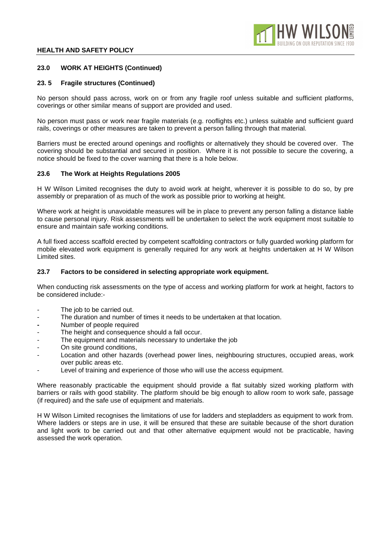## **23.0 WORK AT HEIGHTS (Continued)**

## **23. 5 Fragile structures (Continued)**

No person should pass across, work on or from any fragile roof unless suitable and sufficient platforms, coverings or other similar means of support are provided and used.

No person must pass or work near fragile materials (e.g. rooflights etc.) unless suitable and sufficient guard rails, coverings or other measures are taken to prevent a person falling through that material.

Barriers must be erected around openings and rooflights or alternatively they should be covered over. The covering should be substantial and secured in position. Where it is not possible to secure the covering, a notice should be fixed to the cover warning that there is a hole below.

## **23.6 The Work at Heights Regulations 2005**

H W Wilson Limited recognises the duty to avoid work at height, wherever it is possible to do so, by pre assembly or preparation of as much of the work as possible prior to working at height.

Where work at height is unavoidable measures will be in place to prevent any person falling a distance liable to cause personal injury. Risk assessments will be undertaken to select the work equipment most suitable to ensure and maintain safe working conditions.

A full fixed access scaffold erected by competent scaffolding contractors or fully guarded working platform for mobile elevated work equipment is generally required for any work at heights undertaken at H W Wilson Limited sites.

## **23.7 Factors to be considered in selecting appropriate work equipment.**

When conducting risk assessments on the type of access and working platform for work at height, factors to be considered include:-

- The job to be carried out.
- The duration and number of times it needs to be undertaken at that location.
- **-** Number of people required
- The height and consequence should a fall occur.
- The equipment and materials necessary to undertake the job
- On site ground conditions,
- Location and other hazards (overhead power lines, neighbouring structures, occupied areas, work over public areas etc.
- Level of training and experience of those who will use the access equipment.

Where reasonably practicable the equipment should provide a flat suitably sized working platform with barriers or rails with good stability. The platform should be big enough to allow room to work safe, passage (if required) and the safe use of equipment and materials.

H W Wilson Limited recognises the limitations of use for ladders and stepladders as equipment to work from. Where ladders or steps are in use, it will be ensured that these are suitable because of the short duration and light work to be carried out and that other alternative equipment would not be practicable, having assessed the work operation.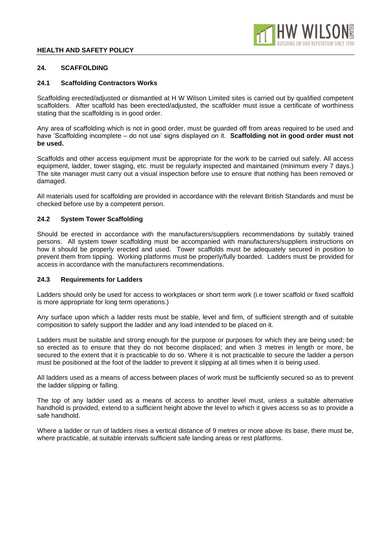

# **24. SCAFFOLDING**

## **24.1 Scaffolding Contractors Works**

Scaffolding erected/adjusted or dismantled at H W Wilson Limited sites is carried out by qualified competent scaffolders. After scaffold has been erected/adjusted, the scaffolder must issue a certificate of worthiness stating that the scaffolding is in good order.

Any area of scaffolding which is not in good order, must be guarded off from areas required to be used and have 'Scaffolding incomplete – do not use' signs displayed on it. **Scaffolding not in good order must not be used.**

Scaffolds and other access equipment must be appropriate for the work to be carried out safely. All access equipment, ladder, tower staging, etc. must be regularly inspected and maintained (minimum every 7 days.) The site manager must carry out a visual inspection before use to ensure that nothing has been removed or damaged.

All materials used for scaffolding are provided in accordance with the relevant British Standards and must be checked before use by a competent person.

## **24.2 System Tower Scaffolding**

Should be erected in accordance with the manufacturers/suppliers recommendations by suitably trained persons. All system tower scaffolding must be accompanied with manufacturers/suppliers instructions on how it should be properly erected and used. Tower scaffolds must be adequately secured in position to prevent them from tipping. Working platforms must be properly/fully boarded. Ladders must be provided for access in accordance with the manufacturers recommendations.

## **24.3 Requirements for Ladders**

Ladders should only be used for access to workplaces or short term work (i.e tower scaffold or fixed scaffold is more appropriate for long term operations.)

Any surface upon which a ladder rests must be stable, level and firm, of sufficient strength and of suitable composition to safely support the ladder and any load intended to be placed on it.

Ladders must be suitable and strong enough for the purpose or purposes for which they are being used; be so erected as to ensure that they do not become displaced; and when 3 metres in length or more, be secured to the extent that it is practicable to do so. Where it is not practicable to secure the ladder a person must be positioned at the foot of the ladder to prevent it slipping at all times when it is being used.

All ladders used as a means of access between places of work must be sufficiently secured so as to prevent the ladder slipping or falling.

The top of any ladder used as a means of access to another level must, unless a suitable alternative handhold is provided, extend to a sufficient height above the level to which it gives access so as to provide a safe handhold.

Where a ladder or run of ladders rises a vertical distance of 9 metres or more above its base, there must be, where practicable, at suitable intervals sufficient safe landing areas or rest platforms.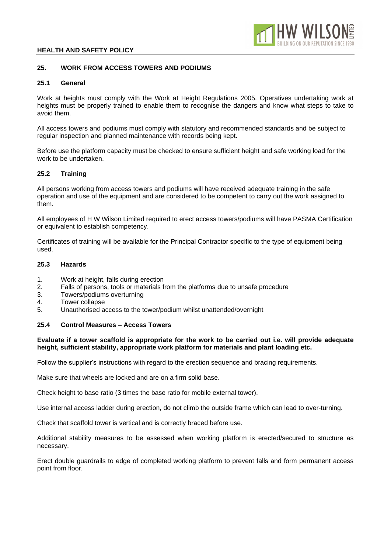

## **25. WORK FROM ACCESS TOWERS AND PODIUMS**

### **25.1 General**

Work at heights must comply with the Work at Height Regulations 2005. Operatives undertaking work at heights must be properly trained to enable them to recognise the dangers and know what steps to take to avoid them.

All access towers and podiums must comply with statutory and recommended standards and be subject to regular inspection and planned maintenance with records being kept.

Before use the platform capacity must be checked to ensure sufficient height and safe working load for the work to be undertaken.

## **25.2 Training**

All persons working from access towers and podiums will have received adequate training in the safe operation and use of the equipment and are considered to be competent to carry out the work assigned to them.

All employees of H W Wilson Limited required to erect access towers/podiums will have PASMA Certification or equivalent to establish competency.

Certificates of training will be available for the Principal Contractor specific to the type of equipment being used.

## **25.3 Hazards**

- 1. Work at height, falls during erection
- 2. Falls of persons, tools or materials from the platforms due to unsafe procedure
- 3. Towers/podiums overturning
- 4. Tower collapse
- 5. Unauthorised access to the tower/podium whilst unattended/overnight

#### **25.4 Control Measures – Access Towers**

## **Evaluate if a tower scaffold is appropriate for the work to be carried out i.e. will provide adequate height, sufficient stability, appropriate work platform for materials and plant loading etc.**

Follow the supplier's instructions with regard to the erection sequence and bracing requirements.

Make sure that wheels are locked and are on a firm solid base.

Check height to base ratio (3 times the base ratio for mobile external tower).

Use internal access ladder during erection, do not climb the outside frame which can lead to over-turning.

Check that scaffold tower is vertical and is correctly braced before use.

Additional stability measures to be assessed when working platform is erected/secured to structure as necessary.

Erect double guardrails to edge of completed working platform to prevent falls and form permanent access point from floor.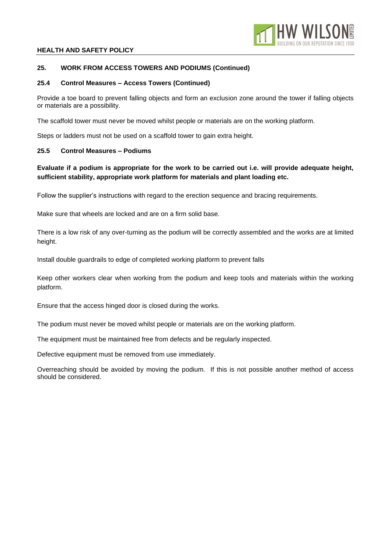

## **25. WORK FROM ACCESS TOWERS AND PODIUMS (Continued)**

## **25.4 Control Measures – Access Towers (Continued)**

Provide a toe board to prevent falling objects and form an exclusion zone around the tower if falling objects or materials are a possibility.

The scaffold tower must never be moved whilst people or materials are on the working platform.

Steps or ladders must not be used on a scaffold tower to gain extra height.

## **25.5 Control Measures – Podiums**

# **Evaluate if a podium is appropriate for the work to be carried out i.e. will provide adequate height, sufficient stability, appropriate work platform for materials and plant loading etc.**

Follow the supplier's instructions with regard to the erection sequence and bracing requirements.

Make sure that wheels are locked and are on a firm solid base.

There is a low risk of any over-turning as the podium will be correctly assembled and the works are at limited height.

Install double guardrails to edge of completed working platform to prevent falls

Keep other workers clear when working from the podium and keep tools and materials within the working platform.

Ensure that the access hinged door is closed during the works.

The podium must never be moved whilst people or materials are on the working platform.

The equipment must be maintained free from defects and be regularly inspected.

Defective equipment must be removed from use immediately.

Overreaching should be avoided by moving the podium. If this is not possible another method of access should be considered.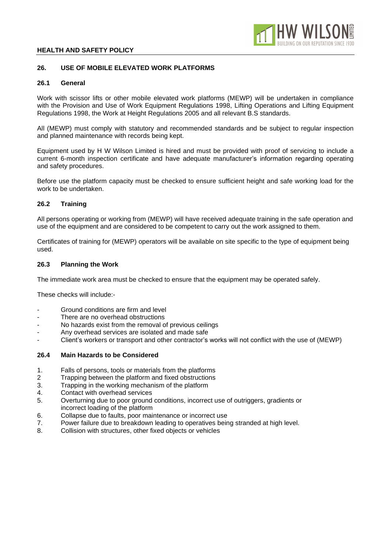

## **26. USE OF MOBILE ELEVATED WORK PLATFORMS**

### **26.1 General**

Work with scissor lifts or other mobile elevated work platforms (MEWP) will be undertaken in compliance with the Provision and Use of Work Equipment Regulations 1998, Lifting Operations and Lifting Equipment Regulations 1998, the Work at Height Regulations 2005 and all relevant B.S standards.

All (MEWP) must comply with statutory and recommended standards and be subject to regular inspection and planned maintenance with records being kept.

Equipment used by H W Wilson Limited is hired and must be provided with proof of servicing to include a current 6-month inspection certificate and have adequate manufacturer's information regarding operating and safety procedures.

Before use the platform capacity must be checked to ensure sufficient height and safe working load for the work to be undertaken.

## **26.2 Training**

All persons operating or working from (MEWP) will have received adequate training in the safe operation and use of the equipment and are considered to be competent to carry out the work assigned to them.

Certificates of training for (MEWP) operators will be available on site specific to the type of equipment being used.

## **26.3 Planning the Work**

The immediate work area must be checked to ensure that the equipment may be operated safely.

These checks will include:-

- Ground conditions are firm and level
- There are no overhead obstructions
- No hazards exist from the removal of previous ceilings
- Any overhead services are isolated and made safe
- Client's workers or transport and other contractor's works will not conflict with the use of (MEWP)

## **26.4 Main Hazards to be Considered**

- 1. Falls of persons, tools or materials from the platforms
- 2 Trapping between the platform and fixed obstructions
- 3. Trapping in the working mechanism of the platform
- 4. Contact with overhead services
- 5. Overturning due to poor ground conditions, incorrect use of outriggers, gradients or incorrect loading of the platform
- 6. Collapse due to faults, poor maintenance or incorrect use
- 7. Power failure due to breakdown leading to operatives being stranded at high level.
- 8. Collision with structures, other fixed objects or vehicles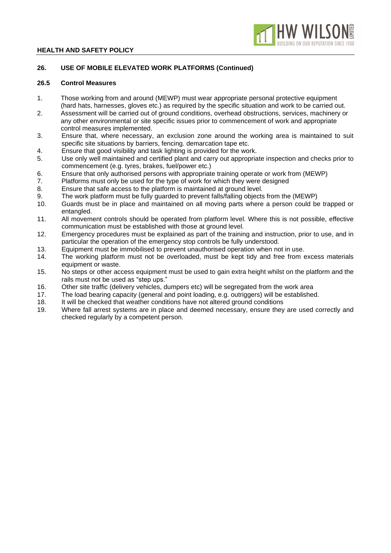

## **26. USE OF MOBILE ELEVATED WORK PLATFORMS (Continued)**

## **26.5 Control Measures**

- 1. Those working from and around (MEWP) must wear appropriate personal protective equipment (hard hats, harnesses, gloves etc.) as required by the specific situation and work to be carried out.
- 2. Assessment will be carried out of ground conditions, overhead obstructions, services, machinery or any other environmental or site specific issues prior to commencement of work and appropriate control measures implemented.
- 3. Ensure that, where necessary, an exclusion zone around the working area is maintained to suit specific site situations by barriers, fencing. demarcation tape etc.
- 4. Ensure that good visibility and task lighting is provided for the work.
- 5. Use only well maintained and certified plant and carry out appropriate inspection and checks prior to commencement (e.g. tyres, brakes, fuel/power etc.)
- 6. Ensure that only authorised persons with appropriate training operate or work from (MEWP)
- 7. Platforms must only be used for the type of work for which they were designed
- 8. Ensure that safe access to the platform is maintained at ground level.
- 9. The work platform must be fully guarded to prevent falls/falling objects from the (MEWP)
- 10. Guards must be in place and maintained on all moving parts where a person could be trapped or entangled.
- 11. All movement controls should be operated from platform level. Where this is not possible, effective communication must be established with those at ground level.
- 12. Emergency procedures must be explained as part of the training and instruction, prior to use, and in particular the operation of the emergency stop controls be fully understood.
- 13. Equipment must be immobilised to prevent unauthorised operation when not in use.
- 14. The working platform must not be overloaded, must be kept tidy and free from excess materials equipment or waste.
- 15. No steps or other access equipment must be used to gain extra height whilst on the platform and the rails must not be used as "step ups."
- 16. Other site traffic (delivery vehicles, dumpers etc) will be segregated from the work area
- 17. The load bearing capacity (general and point loading, e.g. outriggers) will be established.
- 18. It will be checked that weather conditions have not altered ground conditions
- 19. Where fall arrest systems are in place and deemed necessary, ensure they are used correctly and checked regularly by a competent person.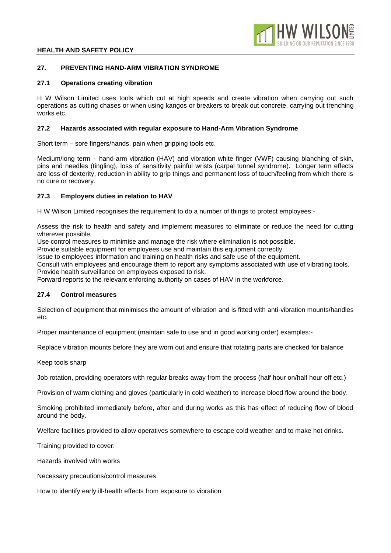

## **27. PREVENTING HAND-ARM VIBRATION SYNDROME**

### **27.1 Operations creating vibration**

H W Wilson Limited uses tools which cut at high speeds and create vibration when carrying out such operations as cutting chases or when using kangos or breakers to break out concrete, carrying out trenching works etc.

## **27.2 Hazards associated with regular exposure to Hand-Arm Vibration Syndrome**

Short term – sore fingers/hands, pain when gripping tools etc.

Medium/long term – hand-arm vibration (HAV) and vibration white finger (VWF) causing blanching of skin, pins and needles (tingling), loss of sensitivity painful wrists (carpal tunnel syndrome). Longer term effects are loss of dexterity, reduction in ability to grip things and permanent loss of touch/feeling from which there is no cure or recovery.

## **27.3 Employers duties in relation to HAV**

H W Wilson Limited recognises the requirement to do a number of things to protect employees:-

Assess the risk to health and safety and implement measures to eliminate or reduce the need for cutting wherever possible.

Use control measures to minimise and manage the risk where elimination is not possible.

Provide suitable equipment for employees use and maintain this equipment correctly.

Issue to employees information and training on health risks and safe use of the equipment.

Consult with employees and encourage them to report any symptoms associated with use of vibrating tools. Provide health surveillance on employees exposed to risk.

Forward reports to the relevant enforcing authority on cases of HAV in the workforce.

## **27.4 Control measures**

Selection of equipment that minimises the amount of vibration and is fitted with anti-vibration mounts/handles etc.

Proper maintenance of equipment (maintain safe to use and in good working order) examples:-

Replace vibration mounts before they are worn out and ensure that rotating parts are checked for balance

Keep tools sharp

Job rotation, providing operators with regular breaks away from the process (half hour on/half hour off etc.)

Provision of warm clothing and gloves (particularly in cold weather) to increase blood flow around the body.

Smoking prohibited immediately before, after and during works as this has effect of reducing flow of blood around the body.

Welfare facilities provided to allow operatives somewhere to escape cold weather and to make hot drinks.

Training provided to cover:

Hazards involved with works

Necessary precautions/control measures

How to identify early ill-health effects from exposure to vibration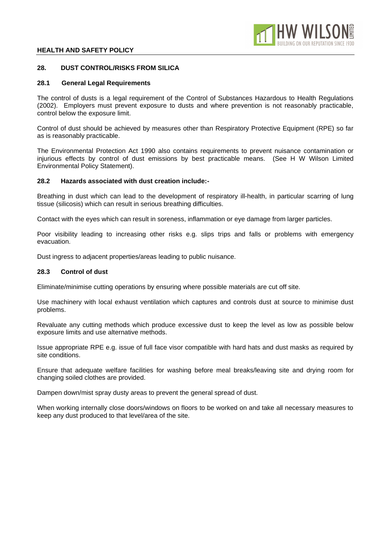

## **28. DUST CONTROL/RISKS FROM SILICA**

#### **28.1 General Legal Requirements**

The control of dusts is a legal requirement of the Control of Substances Hazardous to Health Regulations (2002). Employers must prevent exposure to dusts and where prevention is not reasonably practicable, control below the exposure limit.

Control of dust should be achieved by measures other than Respiratory Protective Equipment (RPE) so far as is reasonably practicable.

The Environmental Protection Act 1990 also contains requirements to prevent nuisance contamination or injurious effects by control of dust emissions by best practicable means. (See H W Wilson Limited Environmental Policy Statement).

#### **28.2 Hazards associated with dust creation include:-**

Breathing in dust which can lead to the development of respiratory ill-health, in particular scarring of lung tissue (silicosis) which can result in serious breathing difficulties.

Contact with the eyes which can result in soreness, inflammation or eye damage from larger particles.

Poor visibility leading to increasing other risks e.g. slips trips and falls or problems with emergency evacuation.

Dust ingress to adjacent properties/areas leading to public nuisance.

## **28.3 Control of dust**

Eliminate/minimise cutting operations by ensuring where possible materials are cut off site.

Use machinery with local exhaust ventilation which captures and controls dust at source to minimise dust problems.

Revaluate any cutting methods which produce excessive dust to keep the level as low as possible below exposure limits and use alternative methods.

Issue appropriate RPE e.g. issue of full face visor compatible with hard hats and dust masks as required by site conditions.

Ensure that adequate welfare facilities for washing before meal breaks/leaving site and drying room for changing soiled clothes are provided.

Dampen down/mist spray dusty areas to prevent the general spread of dust.

When working internally close doors/windows on floors to be worked on and take all necessary measures to keep any dust produced to that level/area of the site.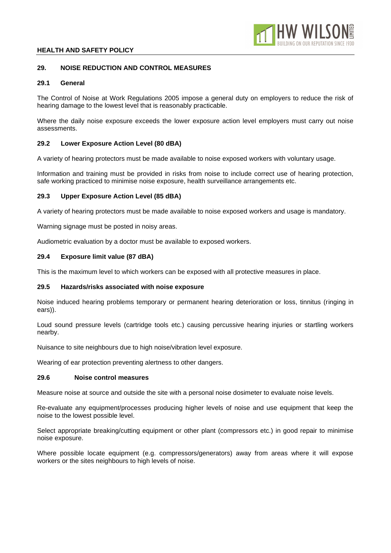

## **29. NOISE REDUCTION AND CONTROL MEASURES**

## **29.1 General**

The Control of Noise at Work Regulations 2005 impose a general duty on employers to reduce the risk of hearing damage to the lowest level that is reasonably practicable.

Where the daily noise exposure exceeds the lower exposure action level employers must carry out noise assessments.

## **29.2 Lower Exposure Action Level (80 dBA)**

A variety of hearing protectors must be made available to noise exposed workers with voluntary usage.

Information and training must be provided in risks from noise to include correct use of hearing protection, safe working practiced to minimise noise exposure, health surveillance arrangements etc.

## **29.3 Upper Exposure Action Level (85 dBA)**

A variety of hearing protectors must be made available to noise exposed workers and usage is mandatory.

Warning signage must be posted in noisy areas.

Audiometric evaluation by a doctor must be available to exposed workers.

## **29.4 Exposure limit value (87 dBA)**

This is the maximum level to which workers can be exposed with all protective measures in place.

## **29.5 Hazards/risks associated with noise exposure**

Noise induced hearing problems temporary or permanent hearing deterioration or loss, tinnitus (ringing in ears)).

Loud sound pressure levels (cartridge tools etc.) causing percussive hearing injuries or startling workers nearby.

Nuisance to site neighbours due to high noise/vibration level exposure.

Wearing of ear protection preventing alertness to other dangers.

## **29.6 Noise control measures**

Measure noise at source and outside the site with a personal noise dosimeter to evaluate noise levels.

Re-evaluate any equipment/processes producing higher levels of noise and use equipment that keep the noise to the lowest possible level.

Select appropriate breaking/cutting equipment or other plant (compressors etc.) in good repair to minimise noise exposure.

Where possible locate equipment (e.g. compressors/generators) away from areas where it will expose workers or the sites neighbours to high levels of noise.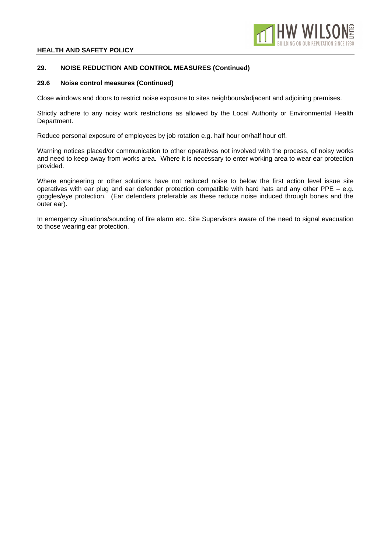

# **29. NOISE REDUCTION AND CONTROL MEASURES (Continued)**

#### **29.6 Noise control measures (Continued)**

Close windows and doors to restrict noise exposure to sites neighbours/adjacent and adjoining premises.

Strictly adhere to any noisy work restrictions as allowed by the Local Authority or Environmental Health Department.

Reduce personal exposure of employees by job rotation e.g. half hour on/half hour off.

Warning notices placed/or communication to other operatives not involved with the process, of noisy works and need to keep away from works area. Where it is necessary to enter working area to wear ear protection provided.

Where engineering or other solutions have not reduced noise to below the first action level issue site operatives with ear plug and ear defender protection compatible with hard hats and any other PPE – e.g. goggles/eye protection. (Ear defenders preferable as these reduce noise induced through bones and the outer ear).

In emergency situations/sounding of fire alarm etc. Site Supervisors aware of the need to signal evacuation to those wearing ear protection.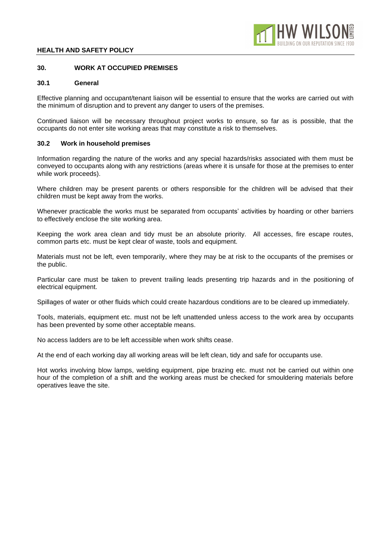

## **30. WORK AT OCCUPIED PREMISES**

#### **30.1 General**

Effective planning and occupant/tenant liaison will be essential to ensure that the works are carried out with the minimum of disruption and to prevent any danger to users of the premises.

Continued liaison will be necessary throughout project works to ensure, so far as is possible, that the occupants do not enter site working areas that may constitute a risk to themselves.

#### **30.2 Work in household premises**

Information regarding the nature of the works and any special hazards/risks associated with them must be conveyed to occupants along with any restrictions (areas where it is unsafe for those at the premises to enter while work proceeds).

Where children may be present parents or others responsible for the children will be advised that their children must be kept away from the works.

Whenever practicable the works must be separated from occupants' activities by hoarding or other barriers to effectively enclose the site working area.

Keeping the work area clean and tidy must be an absolute priority. All accesses, fire escape routes, common parts etc. must be kept clear of waste, tools and equipment.

Materials must not be left, even temporarily, where they may be at risk to the occupants of the premises or the public.

Particular care must be taken to prevent trailing leads presenting trip hazards and in the positioning of electrical equipment.

Spillages of water or other fluids which could create hazardous conditions are to be cleared up immediately.

Tools, materials, equipment etc. must not be left unattended unless access to the work area by occupants has been prevented by some other acceptable means.

No access ladders are to be left accessible when work shifts cease.

At the end of each working day all working areas will be left clean, tidy and safe for occupants use.

Hot works involving blow lamps, welding equipment, pipe brazing etc. must not be carried out within one hour of the completion of a shift and the working areas must be checked for smouldering materials before operatives leave the site.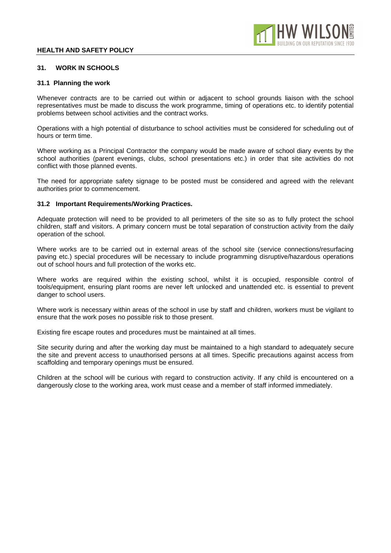

#### **31. WORK IN SCHOOLS**

#### **31.1 Planning the work**

Whenever contracts are to be carried out within or adjacent to school grounds liaison with the school representatives must be made to discuss the work programme, timing of operations etc. to identify potential problems between school activities and the contract works.

Operations with a high potential of disturbance to school activities must be considered for scheduling out of hours or term time.

Where working as a Principal Contractor the company would be made aware of school diary events by the school authorities (parent evenings, clubs, school presentations etc.) in order that site activities do not conflict with those planned events.

The need for appropriate safety signage to be posted must be considered and agreed with the relevant authorities prior to commencement.

#### **31.2 Important Requirements/Working Practices.**

Adequate protection will need to be provided to all perimeters of the site so as to fully protect the school children, staff and visitors. A primary concern must be total separation of construction activity from the daily operation of the school.

Where works are to be carried out in external areas of the school site (service connections/resurfacing paving etc.) special procedures will be necessary to include programming disruptive/hazardous operations out of school hours and full protection of the works etc.

Where works are required within the existing school, whilst it is occupied, responsible control of tools/equipment, ensuring plant rooms are never left unlocked and unattended etc. is essential to prevent danger to school users.

Where work is necessary within areas of the school in use by staff and children, workers must be vigilant to ensure that the work poses no possible risk to those present.

Existing fire escape routes and procedures must be maintained at all times.

Site security during and after the working day must be maintained to a high standard to adequately secure the site and prevent access to unauthorised persons at all times. Specific precautions against access from scaffolding and temporary openings must be ensured.

Children at the school will be curious with regard to construction activity. If any child is encountered on a dangerously close to the working area, work must cease and a member of staff informed immediately.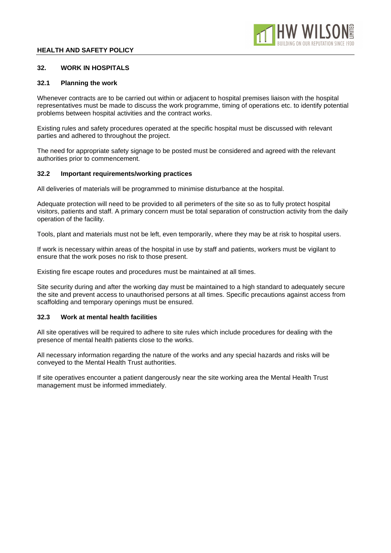

## **32. WORK IN HOSPITALS**

### **32.1 Planning the work**

Whenever contracts are to be carried out within or adjacent to hospital premises liaison with the hospital representatives must be made to discuss the work programme, timing of operations etc. to identify potential problems between hospital activities and the contract works.

Existing rules and safety procedures operated at the specific hospital must be discussed with relevant parties and adhered to throughout the project.

The need for appropriate safety signage to be posted must be considered and agreed with the relevant authorities prior to commencement.

#### **32.2 Important requirements/working practices**

All deliveries of materials will be programmed to minimise disturbance at the hospital.

Adequate protection will need to be provided to all perimeters of the site so as to fully protect hospital visitors, patients and staff. A primary concern must be total separation of construction activity from the daily operation of the facility.

Tools, plant and materials must not be left, even temporarily, where they may be at risk to hospital users.

If work is necessary within areas of the hospital in use by staff and patients, workers must be vigilant to ensure that the work poses no risk to those present.

Existing fire escape routes and procedures must be maintained at all times.

Site security during and after the working day must be maintained to a high standard to adequately secure the site and prevent access to unauthorised persons at all times. Specific precautions against access from scaffolding and temporary openings must be ensured.

## **32.3 Work at mental health facilities**

All site operatives will be required to adhere to site rules which include procedures for dealing with the presence of mental health patients close to the works.

All necessary information regarding the nature of the works and any special hazards and risks will be conveyed to the Mental Health Trust authorities.

If site operatives encounter a patient dangerously near the site working area the Mental Health Trust management must be informed immediately.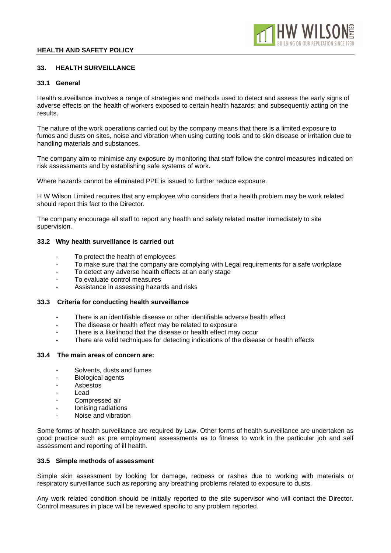

## **33. HEALTH SURVEILLANCE**

#### **33.1 General**

Health surveillance involves a range of strategies and methods used to detect and assess the early signs of adverse effects on the health of workers exposed to certain health hazards; and subsequently acting on the results.

The nature of the work operations carried out by the company means that there is a limited exposure to fumes and dusts on sites, noise and vibration when using cutting tools and to skin disease or irritation due to handling materials and substances.

The company aim to minimise any exposure by monitoring that staff follow the control measures indicated on risk assessments and by establishing safe systems of work.

Where hazards cannot be eliminated PPE is issued to further reduce exposure.

H W Wilson Limited requires that any employee who considers that a health problem may be work related should report this fact to the Director.

The company encourage all staff to report any health and safety related matter immediately to site supervision.

## **33.2 Why health surveillance is carried out**

- To protect the health of employees
- To make sure that the company are complying with Legal requirements for a safe workplace
- To detect any adverse health effects at an early stage
- To evaluate control measures
- Assistance in assessing hazards and risks

## **33.3 Criteria for conducting health surveillance**

- There is an identifiable disease or other identifiable adverse health effect
- The disease or health effect may be related to exposure
- There is a likelihood that the disease or health effect may occur
- There are valid techniques for detecting indications of the disease or health effects

## **33.4 The main areas of concern are:**

- Solvents, dusts and fumes
- Biological agents
- **Asbestos**
- **Lead**
- Compressed air
- Ionising radiations
- Noise and vibration

Some forms of health surveillance are required by Law. Other forms of health surveillance are undertaken as good practice such as pre employment assessments as to fitness to work in the particular job and self assessment and reporting of ill health.

#### **33.5 Simple methods of assessment**

Simple skin assessment by looking for damage, redness or rashes due to working with materials or respiratory surveillance such as reporting any breathing problems related to exposure to dusts.

Any work related condition should be initially reported to the site supervisor who will contact the Director. Control measures in place will be reviewed specific to any problem reported.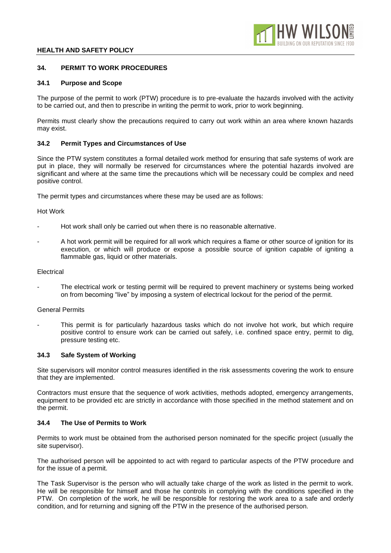## **34. PERMIT TO WORK PROCEDURES**

### **34.1 Purpose and Scope**

The purpose of the permit to work (PTW) procedure is to pre-evaluate the hazards involved with the activity to be carried out, and then to prescribe in writing the permit to work, prior to work beginning.

Permits must clearly show the precautions required to carry out work within an area where known hazards may exist.

## **34.2 Permit Types and Circumstances of Use**

Since the PTW system constitutes a formal detailed work method for ensuring that safe systems of work are put in place, they will normally be reserved for circumstances where the potential hazards involved are significant and where at the same time the precautions which will be necessary could be complex and need positive control.

The permit types and circumstances where these may be used are as follows:

## Hot Work

- Hot work shall only be carried out when there is no reasonable alternative.
- A hot work permit will be required for all work which requires a flame or other source of ignition for its execution, or which will produce or expose a possible source of ignition capable of igniting a flammable gas, liquid or other materials.

## **Electrical**

The electrical work or testing permit will be required to prevent machinery or systems being worked on from becoming "live" by imposing a system of electrical lockout for the period of the permit.

## General Permits

This permit is for particularly hazardous tasks which do not involve hot work, but which require positive control to ensure work can be carried out safely, i.e. confined space entry, permit to dig, pressure testing etc.

## **34.3 Safe System of Working**

Site supervisors will monitor control measures identified in the risk assessments covering the work to ensure that they are implemented.

Contractors must ensure that the sequence of work activities, methods adopted, emergency arrangements, equipment to be provided etc are strictly in accordance with those specified in the method statement and on the permit.

## **34.4 The Use of Permits to Work**

Permits to work must be obtained from the authorised person nominated for the specific project (usually the site supervisor).

The authorised person will be appointed to act with regard to particular aspects of the PTW procedure and for the issue of a permit.

The Task Supervisor is the person who will actually take charge of the work as listed in the permit to work. He will be responsible for himself and those he controls in complying with the conditions specified in the PTW. On completion of the work, he will be responsible for restoring the work area to a safe and orderly condition, and for returning and signing off the PTW in the presence of the authorised person.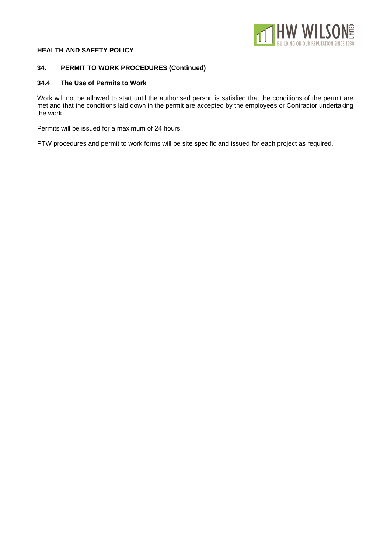

## **34. PERMIT TO WORK PROCEDURES (Continued)**

## **34.4 The Use of Permits to Work**

Work will not be allowed to start until the authorised person is satisfied that the conditions of the permit are met and that the conditions laid down in the permit are accepted by the employees or Contractor undertaking the work.

Permits will be issued for a maximum of 24 hours.

PTW procedures and permit to work forms will be site specific and issued for each project as required.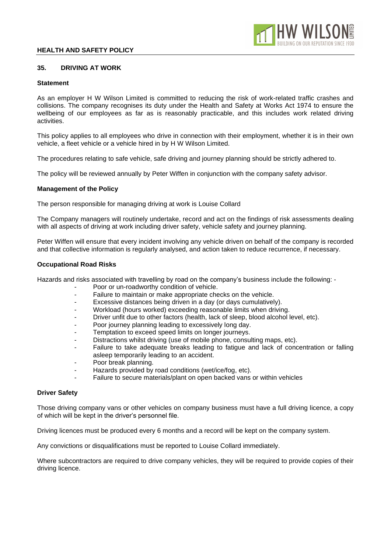

## **35. DRIVING AT WORK**

### **Statement**

As an employer H W Wilson Limited is committed to reducing the risk of work-related traffic crashes and collisions. The company recognises its duty under the Health and Safety at Works Act 1974 to ensure the wellbeing of our employees as far as is reasonably practicable, and this includes work related driving activities.

This policy applies to all employees who drive in connection with their employment, whether it is in their own vehicle, a fleet vehicle or a vehicle hired in by H W Wilson Limited.

The procedures relating to safe vehicle, safe driving and journey planning should be strictly adhered to.

The policy will be reviewed annually by Peter Wiffen in conjunction with the company safety advisor.

#### **Management of the Policy**

The person responsible for managing driving at work is Louise Collard

The Company managers will routinely undertake, record and act on the findings of risk assessments dealing with all aspects of driving at work including driver safety, vehicle safety and journey planning.

Peter Wiffen will ensure that every incident involving any vehicle driven on behalf of the company is recorded and that collective information is regularly analysed, and action taken to reduce recurrence, if necessary.

#### **Occupational Road Risks**

Hazards and risks associated with travelling by road on the company's business include the following: -

- Poor or un-roadworthy condition of vehicle.
- Failure to maintain or make appropriate checks on the vehicle.
- Excessive distances being driven in a day (or days cumulatively).
- Workload (hours worked) exceeding reasonable limits when driving.
- Driver unfit due to other factors (health, lack of sleep, blood alcohol level, etc).
- Poor journey planning leading to excessively long day.
- Temptation to exceed speed limits on longer journeys.
- Distractions whilst driving (use of mobile phone, consulting maps, etc).
- Failure to take adequate breaks leading to fatigue and lack of concentration or falling asleep temporarily leading to an accident.
- Poor break planning.
- Hazards provided by road conditions (wet/ice/fog, etc).
- Failure to secure materials/plant on open backed vans or within vehicles

#### **Driver Safety**

Those driving company vans or other vehicles on company business must have a full driving licence, a copy of which will be kept in the driver's personnel file.

Driving licences must be produced every 6 months and a record will be kept on the company system.

Any convictions or disqualifications must be reported to Louise Collard immediately.

Where subcontractors are required to drive company vehicles, they will be required to provide copies of their driving licence.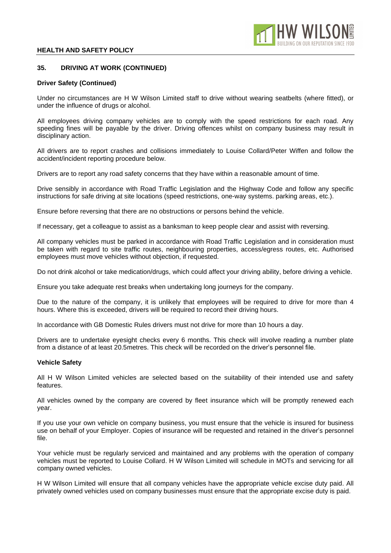## **35. DRIVING AT WORK (CONTINUED)**

### **Driver Safety (Continued)**

Under no circumstances are H W Wilson Limited staff to drive without wearing seatbelts (where fitted), or under the influence of drugs or alcohol.

All employees driving company vehicles are to comply with the speed restrictions for each road. Any speeding fines will be payable by the driver. Driving offences whilst on company business may result in disciplinary action.

All drivers are to report crashes and collisions immediately to Louise Collard/Peter Wiffen and follow the accident/incident reporting procedure below.

Drivers are to report any road safety concerns that they have within a reasonable amount of time.

Drive sensibly in accordance with Road Traffic Legislation and the Highway Code and follow any specific instructions for safe driving at site locations (speed restrictions, one-way systems. parking areas, etc.).

Ensure before reversing that there are no obstructions or persons behind the vehicle.

If necessary, get a colleague to assist as a banksman to keep people clear and assist with reversing.

All company vehicles must be parked in accordance with Road Traffic Legislation and in consideration must be taken with regard to site traffic routes, neighbouring properties, access/egress routes, etc. Authorised employees must move vehicles without objection, if requested.

Do not drink alcohol or take medication/drugs, which could affect your driving ability, before driving a vehicle.

Ensure you take adequate rest breaks when undertaking long journeys for the company.

Due to the nature of the company, it is unlikely that employees will be required to drive for more than 4 hours. Where this is exceeded, drivers will be required to record their driving hours.

In accordance with GB Domestic Rules drivers must not drive for more than 10 hours a day.

Drivers are to undertake eyesight checks every 6 months. This check will involve reading a number plate from a distance of at least 20.5metres. This check will be recorded on the driver's personnel file.

## **Vehicle Safety**

All H W Wilson Limited vehicles are selected based on the suitability of their intended use and safety features.

All vehicles owned by the company are covered by fleet insurance which will be promptly renewed each year.

If you use your own vehicle on company business, you must ensure that the vehicle is insured for business use on behalf of your Employer. Copies of insurance will be requested and retained in the driver's personnel file.

Your vehicle must be regularly serviced and maintained and any problems with the operation of company vehicles must be reported to Louise Collard. H W Wilson Limited will schedule in MOTs and servicing for all company owned vehicles.

H W Wilson Limited will ensure that all company vehicles have the appropriate vehicle excise duty paid. All privately owned vehicles used on company businesses must ensure that the appropriate excise duty is paid.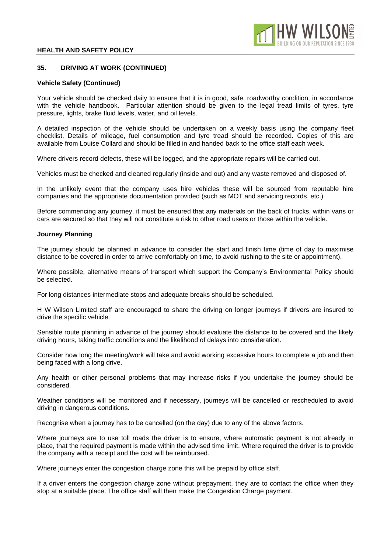## **35. DRIVING AT WORK (CONTINUED)**

## **Vehicle Safety (Continued)**

Your vehicle should be checked daily to ensure that it is in good, safe, roadworthy condition, in accordance with the vehicle handbook. Particular attention should be given to the legal tread limits of tyres, tyre pressure, lights, brake fluid levels, water, and oil levels.

A detailed inspection of the vehicle should be undertaken on a weekly basis using the company fleet checklist. Details of mileage, fuel consumption and tyre tread should be recorded. Copies of this are available from Louise Collard and should be filled in and handed back to the office staff each week.

Where drivers record defects, these will be logged, and the appropriate repairs will be carried out.

Vehicles must be checked and cleaned regularly (inside and out) and any waste removed and disposed of.

In the unlikely event that the company uses hire vehicles these will be sourced from reputable hire companies and the appropriate documentation provided (such as MOT and servicing records, etc.)

Before commencing any journey, it must be ensured that any materials on the back of trucks, within vans or cars are secured so that they will not constitute a risk to other road users or those within the vehicle.

#### **Journey Planning**

The journey should be planned in advance to consider the start and finish time (time of day to maximise distance to be covered in order to arrive comfortably on time, to avoid rushing to the site or appointment).

Where possible, alternative means of transport which support the Company's Environmental Policy should be selected.

For long distances intermediate stops and adequate breaks should be scheduled.

H W Wilson Limited staff are encouraged to share the driving on longer journeys if drivers are insured to drive the specific vehicle.

Sensible route planning in advance of the journey should evaluate the distance to be covered and the likely driving hours, taking traffic conditions and the likelihood of delays into consideration.

Consider how long the meeting/work will take and avoid working excessive hours to complete a job and then being faced with a long drive.

Any health or other personal problems that may increase risks if you undertake the journey should be considered.

Weather conditions will be monitored and if necessary, journeys will be cancelled or rescheduled to avoid driving in dangerous conditions.

Recognise when a journey has to be cancelled (on the day) due to any of the above factors.

Where journeys are to use toll roads the driver is to ensure, where automatic payment is not already in place, that the required payment is made within the advised time limit. Where required the driver is to provide the company with a receipt and the cost will be reimbursed.

Where journeys enter the congestion charge zone this will be prepaid by office staff.

If a driver enters the congestion charge zone without prepayment, they are to contact the office when they stop at a suitable place. The office staff will then make the Congestion Charge payment.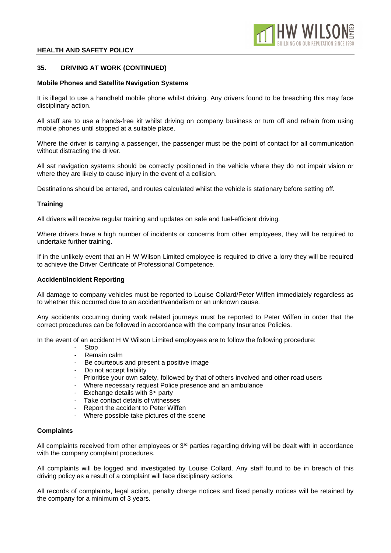## **35. DRIVING AT WORK (CONTINUED)**

### **Mobile Phones and Satellite Navigation Systems**

It is illegal to use a handheld mobile phone whilst driving. Any drivers found to be breaching this may face disciplinary action.

All staff are to use a hands-free kit whilst driving on company business or turn off and refrain from using mobile phones until stopped at a suitable place.

Where the driver is carrying a passenger, the passenger must be the point of contact for all communication without distracting the driver.

All sat navigation systems should be correctly positioned in the vehicle where they do not impair vision or where they are likely to cause injury in the event of a collision.

Destinations should be entered, and routes calculated whilst the vehicle is stationary before setting off.

#### **Training**

All drivers will receive regular training and updates on safe and fuel-efficient driving.

Where drivers have a high number of incidents or concerns from other employees, they will be required to undertake further training.

If in the unlikely event that an H W Wilson Limited employee is required to drive a lorry they will be required to achieve the Driver Certificate of Professional Competence.

#### **Accident/Incident Reporting**

All damage to company vehicles must be reported to Louise Collard/Peter Wiffen immediately regardless as to whether this occurred due to an accident/vandalism or an unknown cause.

Any accidents occurring during work related journeys must be reported to Peter Wiffen in order that the correct procedures can be followed in accordance with the company Insurance Policies.

In the event of an accident H W Wilson Limited employees are to follow the following procedure:

- Stop
- Remain calm
- Be courteous and present a positive image
- Do not accept liability
- Prioritise your own safety, followed by that of others involved and other road users
- Where necessary request Police presence and an ambulance
- Exchange details with 3<sup>rd</sup> party
- Take contact details of witnesses
- Report the accident to Peter Wiffen
- Where possible take pictures of the scene

## **Complaints**

All complaints received from other employees or  $3<sup>rd</sup>$  parties regarding driving will be dealt with in accordance with the company complaint procedures.

All complaints will be logged and investigated by Louise Collard. Any staff found to be in breach of this driving policy as a result of a complaint will face disciplinary actions.

All records of complaints, legal action, penalty charge notices and fixed penalty notices will be retained by the company for a minimum of 3 years.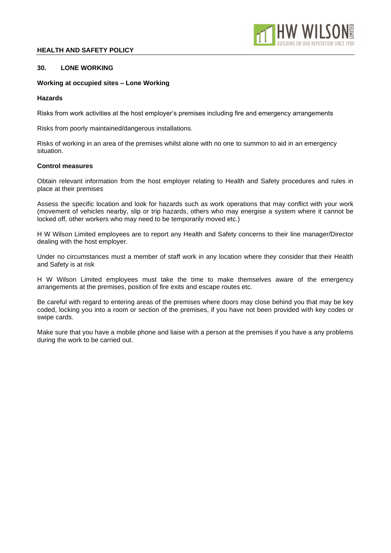

# **30. LONE WORKING**

# **Working at occupied sites – Lone Working**

# **Hazards**

Risks from work activities at the host employer's premises including fire and emergency arrangements

Risks from poorly maintained/dangerous installations.

Risks of working in an area of the premises whilst alone with no one to summon to aid in an emergency situation.

# **Control measures**

Obtain relevant information from the host employer relating to Health and Safety procedures and rules in place at their premises

Assess the specific location and look for hazards such as work operations that may conflict with your work (movement of vehicles nearby, slip or trip hazards, others who may energise a system where it cannot be locked off, other workers who may need to be temporarily moved etc.)

H W Wilson Limited employees are to report any Health and Safety concerns to their line manager/Director dealing with the host employer.

Under no circumstances must a member of staff work in any location where they consider that their Health and Safety is at risk

H W Wilson Limited employees must take the time to make themselves aware of the emergency arrangements at the premises, position of fire exits and escape routes etc.

Be careful with regard to entering areas of the premises where doors may close behind you that may be key coded, locking you into a room or section of the premises, if you have not been provided with key codes or swipe cards.

Make sure that you have a mobile phone and liaise with a person at the premises if you have a any problems during the work to be carried out.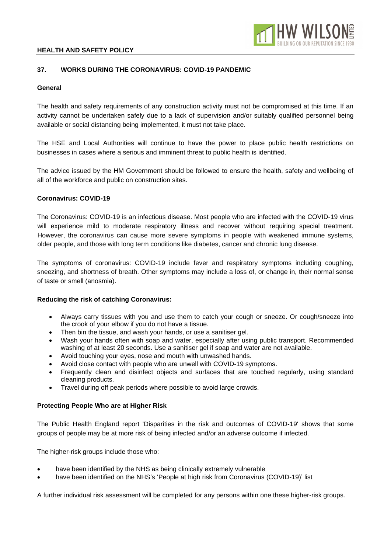

## **37. WORKS DURING THE CORONAVIRUS: COVID-19 PANDEMIC**

## **General**

The health and safety requirements of any construction activity must not be compromised at this time. If an activity cannot be undertaken safely due to a lack of supervision and/or suitably qualified personnel being available or social distancing being implemented, it must not take place.

The HSE and Local Authorities will continue to have the power to place public health restrictions on businesses in cases where a serious and imminent threat to public health is identified.

The advice issued by the HM Government should be followed to ensure the health, safety and wellbeing of all of the workforce and public on construction sites.

## **Coronavirus: COVID-19**

The Coronavirus: COVID-19 is an infectious disease. Most people who are infected with the COVID-19 virus will experience mild to moderate respiratory illness and recover without requiring special treatment. However, the coronavirus can cause more severe symptoms in people with weakened immune systems, older people, and those with long term conditions like diabetes, cancer and chronic lung disease.

The symptoms of coronavirus: COVID-19 include fever and respiratory symptoms including coughing, sneezing, and shortness of breath. Other symptoms may include a loss of, or change in, their normal sense of taste or smell (anosmia).

## **Reducing the risk of catching Coronavirus:**

- Always carry tissues with you and use them to catch your cough or sneeze. Or cough/sneeze into the crook of your elbow if you do not have a tissue.
- Then bin the tissue, and wash your hands, or use a sanitiser gel.
- Wash your hands often with soap and water, especially after using public transport. Recommended washing of at least 20 seconds. Use a sanitiser gel if soap and water are not available.
- Avoid touching your eyes, nose and mouth with unwashed hands.
- Avoid close contact with people who are unwell with COVID-19 symptoms.
- Frequently clean and disinfect objects and surfaces that are touched regularly, using standard cleaning products.
- Travel during off peak periods where possible to avoid large crowds.

## **Protecting People Who are at Higher Risk**

The Public Health England report 'Disparities in the risk and outcomes of COVID-19' shows that some groups of people may be at more risk of being infected and/or an adverse outcome if infected.

The higher-risk groups include those who:

- have been identified by the NHS as being clinically extremely vulnerable
- have been identified on the NHS's 'People at high risk from Coronavirus (COVID-19)' list

A further individual risk assessment will be completed for any persons within one these higher-risk groups.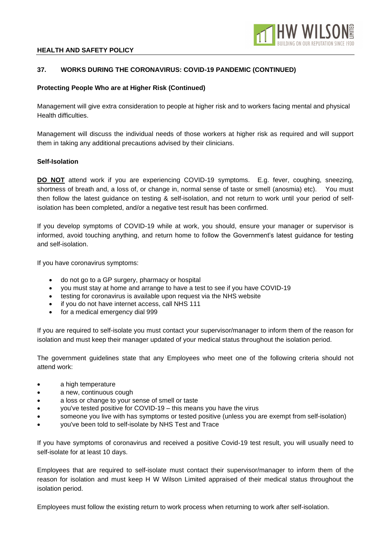

# **37. WORKS DURING THE CORONAVIRUS: COVID-19 PANDEMIC (CONTINUED)**

## **Protecting People Who are at Higher Risk (Continued)**

Management will give extra consideration to people at higher risk and to workers facing mental and physical Health difficulties.

Management will discuss the individual needs of those workers at higher risk as required and will support them in taking any additional precautions advised by their clinicians.

## **Self-Isolation**

**DO NOT** attend work if you are experiencing COVID-19 symptoms. E.g. fever, coughing, sneezing, shortness of breath and, a loss of, or change in, normal sense of taste or smell (anosmia) etc). You must then follow the latest guidance on testing & self-isolation, and not return to work until your period of selfisolation has been completed, and/or a negative test result has been confirmed.

If you develop symptoms of COVID-19 while at work, you should, ensure your manager or supervisor is informed, avoid touching anything, and return home to follow the Government's latest guidance for testing and self-isolation.

If you have coronavirus symptoms:

- do not go to a GP surgery, pharmacy or hospital
- you must stay at home and arrange to have a test to see if you have COVID-19
- testing for coronavirus is available upon request via the NHS website
- if you do not have internet access, call NHS 111
- for a medical emergency dial 999

If you are required to self-isolate you must contact your supervisor/manager to inform them of the reason for isolation and must keep their manager updated of your medical status throughout the isolation period.

The government guidelines state that any Employees who meet one of the following criteria should not attend work:

- a high temperature
- a new, continuous cough
- a loss or change to your sense of smell or taste
- you've tested positive for COVID-19 this means you have the virus
- someone you live with has symptoms or tested positive (unless you are exempt from self-isolation)
- you've been told to self-isolate by NHS Test and Trace

If you have symptoms of coronavirus and received a positive Covid-19 test result, you will usually need to self-isolate for at least 10 days.

Employees that are required to self-isolate must contact their supervisor/manager to inform them of the reason for isolation and must keep H W Wilson Limited appraised of their medical status throughout the isolation period.

Employees must follow the existing return to work process when returning to work after self-isolation.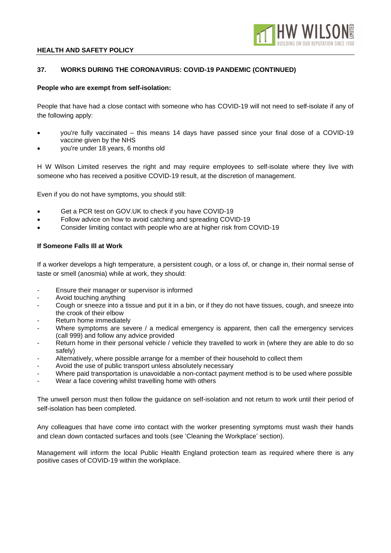

## **37. WORKS DURING THE CORONAVIRUS: COVID-19 PANDEMIC (CONTINUED)**

## **People who are exempt from self-isolation:**

People that have had a close contact with someone who has COVID-19 will not need to self-isolate if any of the following apply:

- you're fully vaccinated this means 14 days have passed since your final dose of a COVID-19 vaccine given by the NHS
- you're under 18 years, 6 months old

H W Wilson Limited reserves the right and may require employees to self-isolate where they live with someone who has received a positive COVID-19 result, at the discretion of management.

Even if you do not have symptoms, you should still:

- Get a PCR test on GOV.UK to check if you have COVID-19
- Follow advice on how to avoid catching and spreading COVID-19
- Consider limiting contact with people who are at higher risk from COVID-19

#### **If Someone Falls Ill at Work**

If a worker develops a high temperature, a persistent cough, or a loss of, or change in, their normal sense of taste or smell (anosmia) while at work, they should:

- Ensure their manager or supervisor is informed
- Avoid touching anything
- Cough or sneeze into a tissue and put it in a bin, or if they do not have tissues, cough, and sneeze into the crook of their elbow
- Return home immediately
- Where symptoms are severe / a medical emergency is apparent, then call the emergency services (call 999) and follow any advice provided
- Return home in their personal vehicle / vehicle they travelled to work in (where they are able to do so safely)
- Alternatively, where possible arrange for a member of their household to collect them
- Avoid the use of public transport unless absolutely necessary
- Where paid transportation is unavoidable a non-contact payment method is to be used where possible
- Wear a face covering whilst travelling home with others

The unwell person must then follow the guidance on self-isolation and not return to work until their period of self-isolation has been completed.

Any colleagues that have come into contact with the worker presenting symptoms must wash their hands and clean down contacted surfaces and tools (see 'Cleaning the Workplace' section).

Management will inform the local Public Health England protection team as required where there is any positive cases of COVID-19 within the workplace.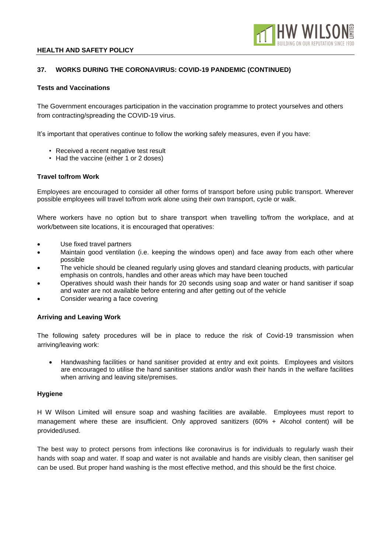

## **37. WORKS DURING THE CORONAVIRUS: COVID-19 PANDEMIC (CONTINUED)**

### **Tests and Vaccinations**

The Government encourages participation in the vaccination programme to protect yourselves and others from contracting/spreading the COVID-19 virus.

It's important that operatives continue to follow the working safely measures, even if you have:

- Received a recent negative test result
- Had the vaccine (either 1 or 2 doses)

#### **Travel to/from Work**

Employees are encouraged to consider all other forms of transport before using public transport. Wherever possible employees will travel to/from work alone using their own transport, cycle or walk.

Where workers have no option but to share transport when travelling to/from the workplace, and at work/between site locations, it is encouraged that operatives:

- Use fixed travel partners
- Maintain good ventilation (i.e. keeping the windows open) and face away from each other where possible
- The vehicle should be cleaned regularly using gloves and standard cleaning products, with particular emphasis on controls, handles and other areas which may have been touched
- Operatives should wash their hands for 20 seconds using soap and water or hand sanitiser if soap and water are not available before entering and after getting out of the vehicle
- Consider wearing a face covering

## **Arriving and Leaving Work**

The following safety procedures will be in place to reduce the risk of Covid-19 transmission when arriving/leaving work:

• Handwashing facilities or hand sanitiser provided at entry and exit points. Employees and visitors are encouraged to utilise the hand sanitiser stations and/or wash their hands in the welfare facilities when arriving and leaving site/premises.

#### **Hygiene**

H W Wilson Limited will ensure soap and washing facilities are available. Employees must report to management where these are insufficient. Only approved sanitizers (60% + Alcohol content) will be provided/used.

The best way to protect persons from infections like coronavirus is for individuals to regularly wash their hands with soap and water. If soap and water is not available and hands are visibly clean, then sanitiser gel can be used. But proper hand washing is the most effective method, and this should be the first choice.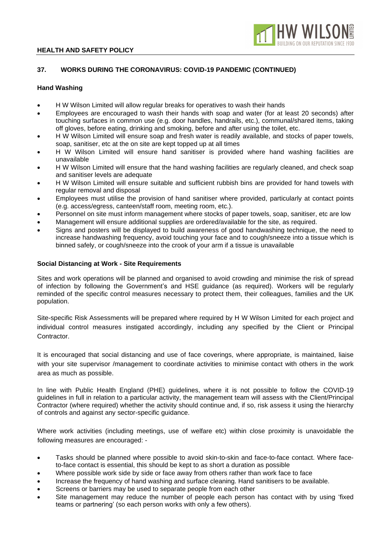

# **37. WORKS DURING THE CORONAVIRUS: COVID-19 PANDEMIC (CONTINUED)**

### **Hand Washing**

- H W Wilson Limited will allow regular breaks for operatives to wash their hands
- Employees are encouraged to wash their hands with soap and water (for at least 20 seconds) after touching surfaces in common use (e.g. door handles, handrails, etc.), communal/shared items, taking off gloves, before eating, drinking and smoking, before and after using the toilet, etc.
- H W Wilson Limited will ensure soap and fresh water is readily available, and stocks of paper towels, soap, sanitiser, etc at the on site are kept topped up at all times
- H W Wilson Limited will ensure hand sanitiser is provided where hand washing facilities are unavailable
- H W Wilson Limited will ensure that the hand washing facilities are regularly cleaned, and check soap and sanitiser levels are adequate
- H W Wilson Limited will ensure suitable and sufficient rubbish bins are provided for hand towels with regular removal and disposal
- Employees must utilise the provision of hand sanitiser where provided, particularly at contact points (e.g. access/egress, canteen/staff room, meeting room, etc.).
- Personnel on site must inform management where stocks of paper towels, soap, sanitiser, etc are low
- Management will ensure additional supplies are ordered/available for the site, as required.
- Signs and posters will be displayed to build awareness of good handwashing technique, the need to increase handwashing frequency, avoid touching your face and to cough/sneeze into a tissue which is binned safely, or cough/sneeze into the crook of your arm if a tissue is unavailable

#### **Social Distancing at Work - Site Requirements**

Sites and work operations will be planned and organised to avoid crowding and minimise the risk of spread of infection by following the Government's and HSE guidance (as required). Workers will be regularly reminded of the specific control measures necessary to protect them, their colleagues, families and the UK population.

Site-specific Risk Assessments will be prepared where required by H W Wilson Limited for each project and individual control measures instigated accordingly, including any specified by the Client or Principal Contractor.

It is encouraged that social distancing and use of face coverings, where appropriate, is maintained, liaise with your site supervisor /management to coordinate activities to minimise contact with others in the work area as much as possible.

In line with Public Health England (PHE) guidelines, where it is not possible to follow the COVID-19 guidelines in full in relation to a particular activity, the management team will assess with the Client/Principal Contractor (where required) whether the activity should continue and, if so, risk assess it using the hierarchy of controls and against any sector-specific guidance.

Where work activities (including meetings, use of welfare etc) within close proximity is unavoidable the following measures are encouraged: -

- Tasks should be planned where possible to avoid skin-to-skin and face-to-face contact. Where faceto-face contact is essential, this should be kept to as short a duration as possible
- Where possible work side by side or face away from others rather than work face to face
- Increase the frequency of hand washing and surface cleaning. Hand sanitisers to be available.
- Screens or barriers may be used to separate people from each other
- Site management may reduce the number of people each person has contact with by using 'fixed teams or partnering' (so each person works with only a few others).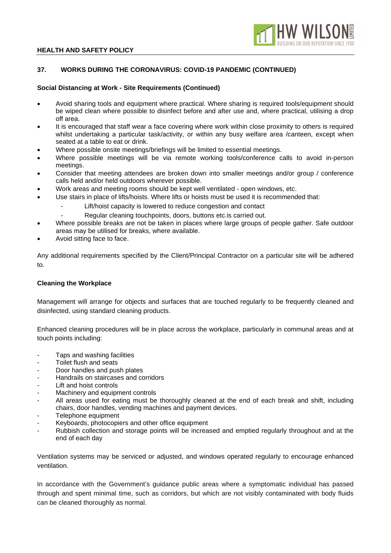

# **37. WORKS DURING THE CORONAVIRUS: COVID-19 PANDEMIC (CONTINUED)**

## **Social Distancing at Work - Site Requirements (Continued)**

- Avoid sharing tools and equipment where practical. Where sharing is required tools/equipment should be wiped clean where possible to disinfect before and after use and, where practical, utilising a drop off area.
- It is encouraged that staff wear a face covering where work within close proximity to others is required whilst undertaking a particular task/activity, or within any busy welfare area /canteen, except when seated at a table to eat or drink.
- Where possible onsite meetings/briefings will be limited to essential meetings.
- Where possible meetings will be via remote working tools/conference calls to avoid in-person meetings.
- Consider that meeting attendees are broken down into smaller meetings and/or group / conference calls held and/or held outdoors wherever possible.
- Work areas and meeting rooms should be kept well ventilated open windows, etc.
- Use stairs in place of lifts/hoists. Where lifts or hoists must be used it is recommended that:
	- Lift/hoist capacity is lowered to reduce congestion and contact
	- Regular cleaning touchpoints, doors, buttons etc. is carried out.
- Where possible breaks are not be taken in places where large groups of people gather. Safe outdoor areas may be utilised for breaks, where available.
- Avoid sitting face to face.

Any additional requirements specified by the Client/Principal Contractor on a particular site will be adhered to.

## **Cleaning the Workplace**

Management will arrange for objects and surfaces that are touched regularly to be frequently cleaned and disinfected, using standard cleaning products.

Enhanced cleaning procedures will be in place across the workplace, particularly in communal areas and at touch points including:

- Taps and washing facilities
- Toilet flush and seats
- Door handles and push plates
- Handrails on staircases and corridors
- Lift and hoist controls
- Machinery and equipment controls
- All areas used for eating must be thoroughly cleaned at the end of each break and shift, including chairs, door handles, vending machines and payment devices.
- Telephone equipment
- Keyboards, photocopiers and other office equipment
- Rubbish collection and storage points will be increased and emptied regularly throughout and at the end of each day

Ventilation systems may be serviced or adjusted, and windows operated regularly to encourage enhanced ventilation.

In accordance with the Government's guidance public areas where a symptomatic individual has passed through and spent minimal time, such as corridors, but which are not visibly contaminated with body fluids can be cleaned thoroughly as normal.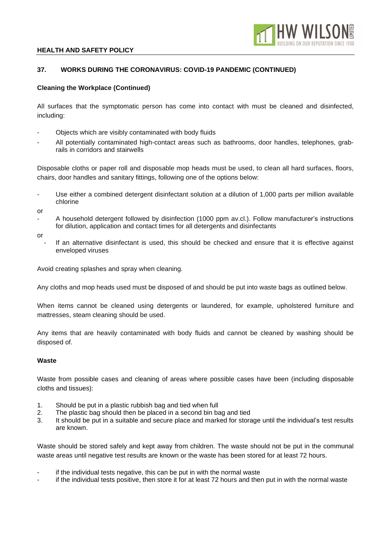

# **37. WORKS DURING THE CORONAVIRUS: COVID-19 PANDEMIC (CONTINUED)**

## **Cleaning the Workplace (Continued)**

All surfaces that the symptomatic person has come into contact with must be cleaned and disinfected, including:

- Objects which are visibly contaminated with body fluids
- All potentially contaminated high-contact areas such as bathrooms, door handles, telephones, grabrails in corridors and stairwells

Disposable cloths or paper roll and disposable mop heads must be used, to clean all hard surfaces, floors, chairs, door handles and sanitary fittings, following one of the options below:

Use either a combined detergent disinfectant solution at a dilution of 1,000 parts per million available chlorine

or

A household detergent followed by disinfection (1000 ppm av.cl.). Follow manufacturer's instructions for dilution, application and contact times for all detergents and disinfectants

or

If an alternative disinfectant is used, this should be checked and ensure that it is effective against enveloped viruses

Avoid creating splashes and spray when cleaning.

Any cloths and mop heads used must be disposed of and should be put into waste bags as outlined below.

When items cannot be cleaned using detergents or laundered, for example, upholstered furniture and mattresses, steam cleaning should be used.

Any items that are heavily contaminated with body fluids and cannot be cleaned by washing should be disposed of.

## **Waste**

Waste from possible cases and cleaning of areas where possible cases have been (including disposable cloths and tissues):

- 1. Should be put in a plastic rubbish bag and tied when full
- 2. The plastic bag should then be placed in a second bin bag and tied
- 3. It should be put in a suitable and secure place and marked for storage until the individual's test results are known.

Waste should be stored safely and kept away from children. The waste should not be put in the communal waste areas until negative test results are known or the waste has been stored for at least 72 hours.

- if the individual tests negative, this can be put in with the normal waste
- if the individual tests positive, then store it for at least 72 hours and then put in with the normal waste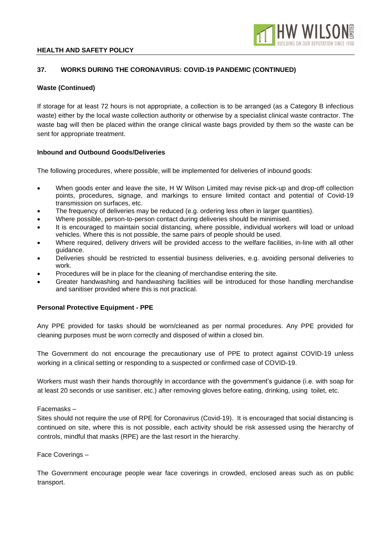

## **37. WORKS DURING THE CORONAVIRUS: COVID-19 PANDEMIC (CONTINUED)**

## **Waste (Continued)**

If storage for at least 72 hours is not appropriate, a collection is to be arranged (as a Category B infectious waste) either by the local waste collection authority or otherwise by a specialist clinical waste contractor. The waste bag will then be placed within the orange clinical waste bags provided by them so the waste can be sent for appropriate treatment.

## **Inbound and Outbound Goods/Deliveries**

The following procedures, where possible, will be implemented for deliveries of inbound goods:

- When goods enter and leave the site, H W Wilson Limited may revise pick-up and drop-off collection points, procedures, signage, and markings to ensure limited contact and potential of Covid-19 transmission on surfaces, etc.
- The frequency of deliveries may be reduced (e.g. ordering less often in larger quantities).
- Where possible, person-to-person contact during deliveries should be minimised.
- It is encouraged to maintain social distancing, where possible, individual workers will load or unload vehicles. Where this is not possible, the same pairs of people should be used.
- Where required, delivery drivers will be provided access to the welfare facilities, in-line with all other guidance.
- Deliveries should be restricted to essential business deliveries, e.g. avoiding personal deliveries to work.
- Procedures will be in place for the cleaning of merchandise entering the site.
- Greater handwashing and handwashing facilities will be introduced for those handling merchandise and sanitiser provided where this is not practical.

## **Personal Protective Equipment - PPE**

Any PPE provided for tasks should be worn/cleaned as per normal procedures. Any PPE provided for cleaning purposes must be worn correctly and disposed of within a closed bin.

The Government do not encourage the precautionary use of PPE to protect against COVID-19 unless working in a clinical setting or responding to a suspected or confirmed case of COVID-19.

Workers must wash their hands thoroughly in accordance with the government's guidance (i.e. with soap for at least 20 seconds or use sanitiser, etc.) after removing gloves before eating, drinking, using toilet, etc.

Facemasks –

Sites should not require the use of RPE for Coronavirus (Covid-19). It is encouraged that social distancing is continued on site, where this is not possible, each activity should be risk assessed using the hierarchy of controls, mindful that masks (RPE) are the last resort in the hierarchy.

Face Coverings –

The Government encourage people wear face coverings in crowded, enclosed areas such as on public transport.